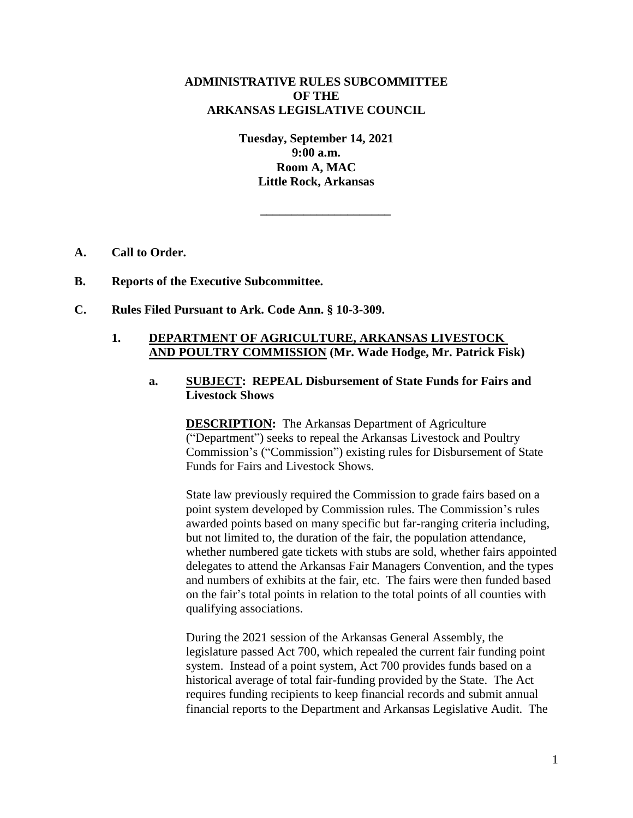# **ADMINISTRATIVE RULES SUBCOMMITTEE OF THE ARKANSAS LEGISLATIVE COUNCIL**

**Tuesday, September 14, 2021 9:00 a.m. Room A, MAC Little Rock, Arkansas**

**\_\_\_\_\_\_\_\_\_\_\_\_\_\_\_\_\_\_\_\_\_**

- **A. Call to Order.**
- **B. Reports of the Executive Subcommittee.**
- **C. Rules Filed Pursuant to Ark. Code Ann. § 10-3-309.**

## **1. DEPARTMENT OF AGRICULTURE, ARKANSAS LIVESTOCK AND POULTRY COMMISSION (Mr. Wade Hodge, Mr. Patrick Fisk)**

# **a. SUBJECT: REPEAL Disbursement of State Funds for Fairs and Livestock Shows**

**DESCRIPTION:** The Arkansas Department of Agriculture ("Department") seeks to repeal the Arkansas Livestock and Poultry Commission's ("Commission") existing rules for Disbursement of State Funds for Fairs and Livestock Shows.

State law previously required the Commission to grade fairs based on a point system developed by Commission rules. The Commission's rules awarded points based on many specific but far-ranging criteria including, but not limited to, the duration of the fair, the population attendance, whether numbered gate tickets with stubs are sold, whether fairs appointed delegates to attend the Arkansas Fair Managers Convention, and the types and numbers of exhibits at the fair, etc. The fairs were then funded based on the fair's total points in relation to the total points of all counties with qualifying associations.

During the 2021 session of the Arkansas General Assembly, the legislature passed Act 700, which repealed the current fair funding point system. Instead of a point system, Act 700 provides funds based on a historical average of total fair-funding provided by the State. The Act requires funding recipients to keep financial records and submit annual financial reports to the Department and Arkansas Legislative Audit. The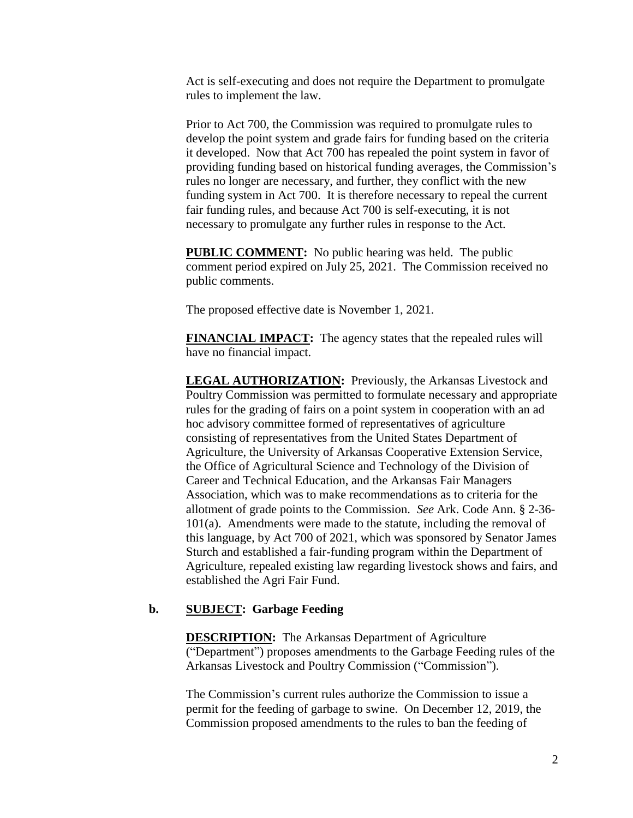Act is self-executing and does not require the Department to promulgate rules to implement the law.

Prior to Act 700, the Commission was required to promulgate rules to develop the point system and grade fairs for funding based on the criteria it developed. Now that Act 700 has repealed the point system in favor of providing funding based on historical funding averages, the Commission's rules no longer are necessary, and further, they conflict with the new funding system in Act 700. It is therefore necessary to repeal the current fair funding rules, and because Act 700 is self-executing, it is not necessary to promulgate any further rules in response to the Act.

**PUBLIC COMMENT:** No public hearing was held. The public comment period expired on July 25, 2021. The Commission received no public comments.

The proposed effective date is November 1, 2021.

**FINANCIAL IMPACT:** The agency states that the repealed rules will have no financial impact.

**LEGAL AUTHORIZATION:** Previously, the Arkansas Livestock and Poultry Commission was permitted to formulate necessary and appropriate rules for the grading of fairs on a point system in cooperation with an ad hoc advisory committee formed of representatives of agriculture consisting of representatives from the United States Department of Agriculture, the University of Arkansas Cooperative Extension Service, the Office of Agricultural Science and Technology of the Division of Career and Technical Education, and the Arkansas Fair Managers Association, which was to make recommendations as to criteria for the allotment of grade points to the Commission. *See* Ark. Code Ann. § 2-36- 101(a). Amendments were made to the statute, including the removal of this language, by Act 700 of 2021, which was sponsored by Senator James Sturch and established a fair-funding program within the Department of Agriculture, repealed existing law regarding livestock shows and fairs, and established the Agri Fair Fund.

## **b. SUBJECT: Garbage Feeding**

**DESCRIPTION:** The Arkansas Department of Agriculture ("Department") proposes amendments to the Garbage Feeding rules of the Arkansas Livestock and Poultry Commission ("Commission").

The Commission's current rules authorize the Commission to issue a permit for the feeding of garbage to swine. On December 12, 2019, the Commission proposed amendments to the rules to ban the feeding of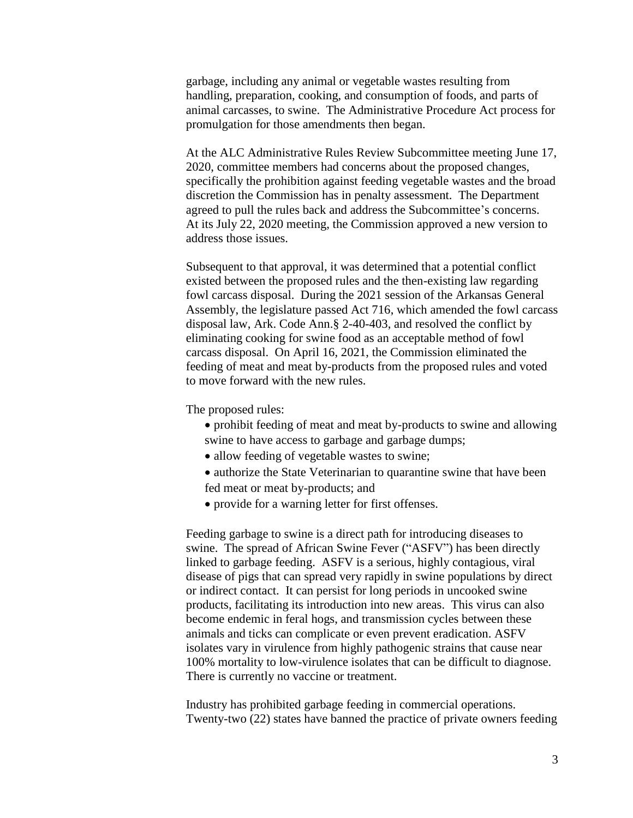garbage, including any animal or vegetable wastes resulting from handling, preparation, cooking, and consumption of foods, and parts of animal carcasses, to swine. The Administrative Procedure Act process for promulgation for those amendments then began.

At the ALC Administrative Rules Review Subcommittee meeting June 17, 2020, committee members had concerns about the proposed changes, specifically the prohibition against feeding vegetable wastes and the broad discretion the Commission has in penalty assessment. The Department agreed to pull the rules back and address the Subcommittee's concerns. At its July 22, 2020 meeting, the Commission approved a new version to address those issues.

Subsequent to that approval, it was determined that a potential conflict existed between the proposed rules and the then-existing law regarding fowl carcass disposal. During the 2021 session of the Arkansas General Assembly, the legislature passed Act 716, which amended the fowl carcass disposal law, Ark. Code Ann.§ 2-40-403, and resolved the conflict by eliminating cooking for swine food as an acceptable method of fowl carcass disposal. On April 16, 2021, the Commission eliminated the feeding of meat and meat by-products from the proposed rules and voted to move forward with the new rules.

The proposed rules:

- prohibit feeding of meat and meat by-products to swine and allowing
- swine to have access to garbage and garbage dumps;
- allow feeding of vegetable wastes to swine;
- authorize the State Veterinarian to quarantine swine that have been fed meat or meat by-products; and
- provide for a warning letter for first offenses.

Feeding garbage to swine is a direct path for introducing diseases to swine. The spread of African Swine Fever ("ASFV") has been directly linked to garbage feeding. ASFV is a serious, highly contagious, viral disease of pigs that can spread very rapidly in swine populations by direct or indirect contact. It can persist for long periods in uncooked swine products, facilitating its introduction into new areas. This virus can also become endemic in feral hogs, and transmission cycles between these animals and ticks can complicate or even prevent eradication. ASFV isolates vary in virulence from highly pathogenic strains that cause near 100% mortality to low-virulence isolates that can be difficult to diagnose. There is currently no vaccine or treatment.

Industry has prohibited garbage feeding in commercial operations. Twenty-two (22) states have banned the practice of private owners feeding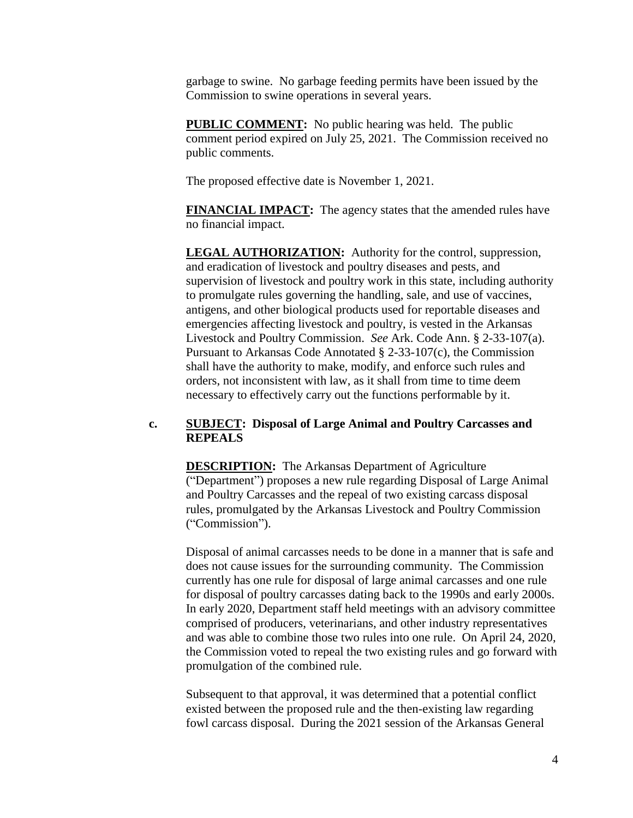garbage to swine. No garbage feeding permits have been issued by the Commission to swine operations in several years.

**PUBLIC COMMENT:** No public hearing was held. The public comment period expired on July 25, 2021. The Commission received no public comments.

The proposed effective date is November 1, 2021.

**FINANCIAL IMPACT:** The agency states that the amended rules have no financial impact.

**LEGAL AUTHORIZATION:** Authority for the control, suppression, and eradication of livestock and poultry diseases and pests, and supervision of livestock and poultry work in this state, including authority to promulgate rules governing the handling, sale, and use of vaccines, antigens, and other biological products used for reportable diseases and emergencies affecting livestock and poultry, is vested in the Arkansas Livestock and Poultry Commission. *See* Ark. Code Ann. § 2-33-107(a). Pursuant to Arkansas Code Annotated § 2-33-107(c), the Commission shall have the authority to make, modify, and enforce such rules and orders, not inconsistent with law, as it shall from time to time deem necessary to effectively carry out the functions performable by it.

## **c. SUBJECT: Disposal of Large Animal and Poultry Carcasses and REPEALS**

**DESCRIPTION:** The Arkansas Department of Agriculture ("Department") proposes a new rule regarding Disposal of Large Animal and Poultry Carcasses and the repeal of two existing carcass disposal rules, promulgated by the Arkansas Livestock and Poultry Commission ("Commission").

Disposal of animal carcasses needs to be done in a manner that is safe and does not cause issues for the surrounding community. The Commission currently has one rule for disposal of large animal carcasses and one rule for disposal of poultry carcasses dating back to the 1990s and early 2000s. In early 2020, Department staff held meetings with an advisory committee comprised of producers, veterinarians, and other industry representatives and was able to combine those two rules into one rule. On April 24, 2020, the Commission voted to repeal the two existing rules and go forward with promulgation of the combined rule.

Subsequent to that approval, it was determined that a potential conflict existed between the proposed rule and the then-existing law regarding fowl carcass disposal. During the 2021 session of the Arkansas General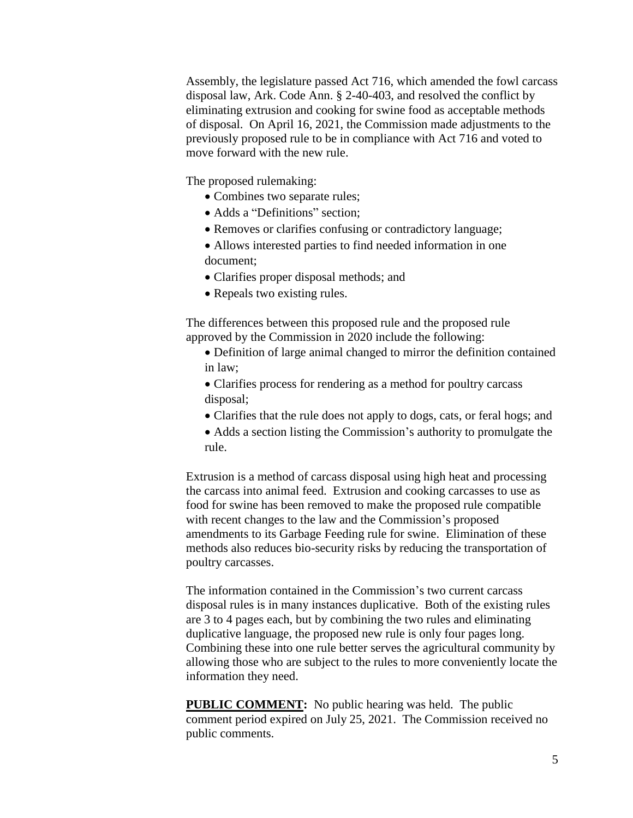Assembly, the legislature passed Act 716, which amended the fowl carcass disposal law, Ark. Code Ann. § 2-40-403, and resolved the conflict by eliminating extrusion and cooking for swine food as acceptable methods of disposal. On April 16, 2021, the Commission made adjustments to the previously proposed rule to be in compliance with Act 716 and voted to move forward with the new rule.

The proposed rulemaking:

- Combines two separate rules;
- Adds a "Definitions" section;
- Removes or clarifies confusing or contradictory language;
- Allows interested parties to find needed information in one document;
- Clarifies proper disposal methods; and
- Repeals two existing rules.

The differences between this proposed rule and the proposed rule approved by the Commission in 2020 include the following:

 Definition of large animal changed to mirror the definition contained in law;

 Clarifies process for rendering as a method for poultry carcass disposal;

- Clarifies that the rule does not apply to dogs, cats, or feral hogs; and
- Adds a section listing the Commission's authority to promulgate the rule.

Extrusion is a method of carcass disposal using high heat and processing the carcass into animal feed. Extrusion and cooking carcasses to use as food for swine has been removed to make the proposed rule compatible with recent changes to the law and the Commission's proposed amendments to its Garbage Feeding rule for swine. Elimination of these methods also reduces bio-security risks by reducing the transportation of poultry carcasses.

The information contained in the Commission's two current carcass disposal rules is in many instances duplicative. Both of the existing rules are 3 to 4 pages each, but by combining the two rules and eliminating duplicative language, the proposed new rule is only four pages long. Combining these into one rule better serves the agricultural community by allowing those who are subject to the rules to more conveniently locate the information they need.

**PUBLIC COMMENT:** No public hearing was held. The public comment period expired on July 25, 2021. The Commission received no public comments.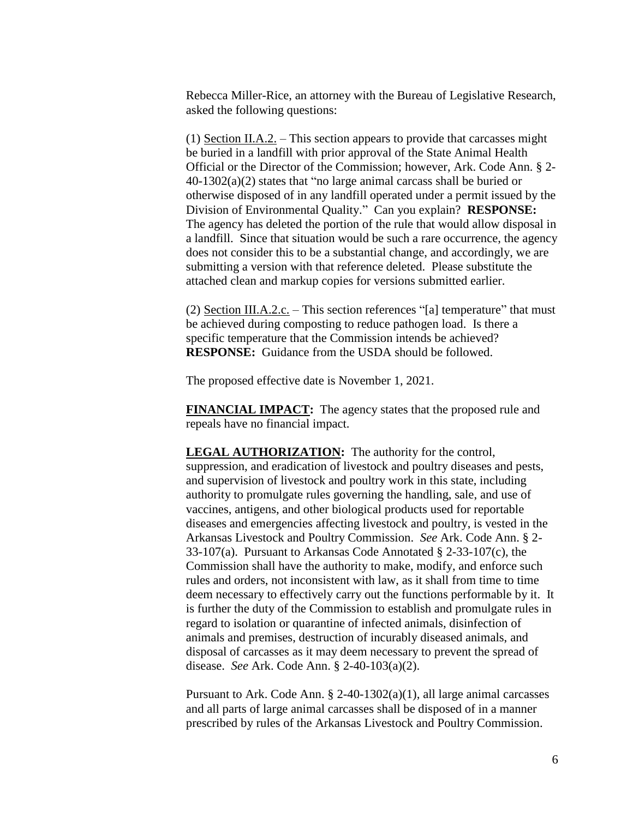Rebecca Miller-Rice, an attorney with the Bureau of Legislative Research, asked the following questions:

(1) Section II.A.2. – This section appears to provide that carcasses might be buried in a landfill with prior approval of the State Animal Health Official or the Director of the Commission; however, Ark. Code Ann. § 2- 40-1302(a)(2) states that "no large animal carcass shall be buried or otherwise disposed of in any landfill operated under a permit issued by the Division of Environmental Quality." Can you explain? **RESPONSE:** The agency has deleted the portion of the rule that would allow disposal in a landfill. Since that situation would be such a rare occurrence, the agency does not consider this to be a substantial change, and accordingly, we are submitting a version with that reference deleted. Please substitute the attached clean and markup copies for versions submitted earlier.

(2) Section III.A.2.c. – This section references "[a] temperature" that must be achieved during composting to reduce pathogen load. Is there a specific temperature that the Commission intends be achieved? **RESPONSE:** Guidance from the USDA should be followed.

The proposed effective date is November 1, 2021.

**FINANCIAL IMPACT:** The agency states that the proposed rule and repeals have no financial impact.

**LEGAL AUTHORIZATION:** The authority for the control, suppression, and eradication of livestock and poultry diseases and pests, and supervision of livestock and poultry work in this state, including authority to promulgate rules governing the handling, sale, and use of vaccines, antigens, and other biological products used for reportable diseases and emergencies affecting livestock and poultry, is vested in the Arkansas Livestock and Poultry Commission. *See* Ark. Code Ann. § 2- 33-107(a). Pursuant to Arkansas Code Annotated § 2-33-107(c), the Commission shall have the authority to make, modify, and enforce such rules and orders, not inconsistent with law, as it shall from time to time deem necessary to effectively carry out the functions performable by it. It is further the duty of the Commission to establish and promulgate rules in regard to isolation or quarantine of infected animals, disinfection of animals and premises, destruction of incurably diseased animals, and disposal of carcasses as it may deem necessary to prevent the spread of disease. *See* Ark. Code Ann. § 2-40-103(a)(2).

Pursuant to Ark. Code Ann. § 2-40-1302(a)(1), all large animal carcasses and all parts of large animal carcasses shall be disposed of in a manner prescribed by rules of the Arkansas Livestock and Poultry Commission.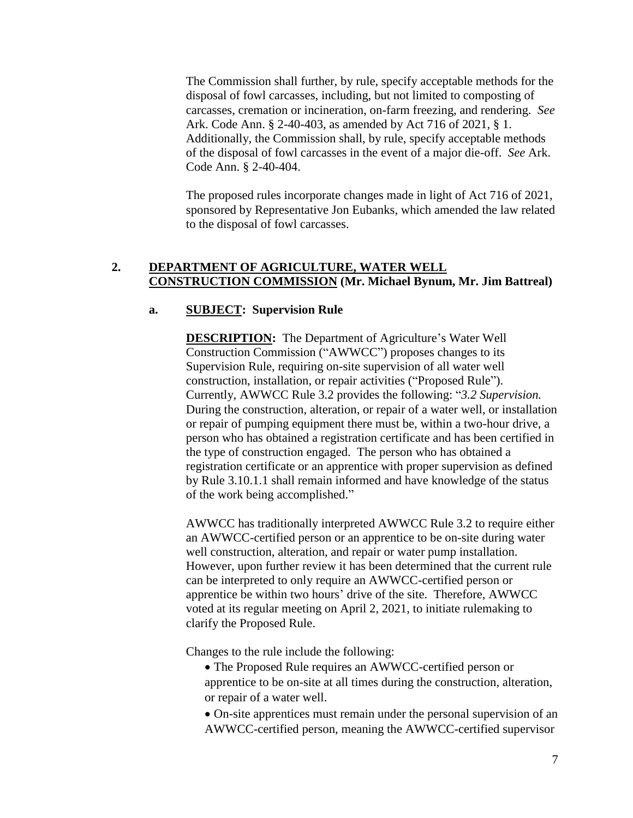The Commission shall further, by rule, specify acceptable methods for the disposal of fowl carcasses, including, but not limited to composting of carcasses, cremation or incineration, on-farm freezing, and rendering. *See* Ark. Code Ann. § 2-40-403, as amended by Act 716 of 2021, § 1. Additionally, the Commission shall, by rule, specify acceptable methods of the disposal of fowl carcasses in the event of a major die-off. *See* Ark. Code Ann. § 2-40-404.

The proposed rules incorporate changes made in light of Act 716 of 2021, sponsored by Representative Jon Eubanks, which amended the law related to the disposal of fowl carcasses.

# **2. DEPARTMENT OF AGRICULTURE, WATER WELL CONSTRUCTION COMMISSION (Mr. Michael Bynum, Mr. Jim Battreal)**

# **a. SUBJECT: Supervision Rule**

**DESCRIPTION:** The Department of Agriculture's Water Well Construction Commission ("AWWCC") proposes changes to its Supervision Rule, requiring on-site supervision of all water well construction, installation, or repair activities ("Proposed Rule"). Currently, AWWCC Rule 3.2 provides the following: "*3.2 Supervision.* During the construction, alteration, or repair of a water well, or installation or repair of pumping equipment there must be, within a two-hour drive, a person who has obtained a registration certificate and has been certified in the type of construction engaged. The person who has obtained a registration certificate or an apprentice with proper supervision as defined by Rule 3.10.1.1 shall remain informed and have knowledge of the status of the work being accomplished."

AWWCC has traditionally interpreted AWWCC Rule 3.2 to require either an AWWCC-certified person or an apprentice to be on-site during water well construction, alteration, and repair or water pump installation. However, upon further review it has been determined that the current rule can be interpreted to only require an AWWCC-certified person or apprentice be within two hours' drive of the site. Therefore, AWWCC voted at its regular meeting on April 2, 2021, to initiate rulemaking to clarify the Proposed Rule.

Changes to the rule include the following:

- The Proposed Rule requires an AWWCC-certified person or apprentice to be on-site at all times during the construction, alteration, or repair of a water well.
- On-site apprentices must remain under the personal supervision of an AWWCC-certified person, meaning the AWWCC-certified supervisor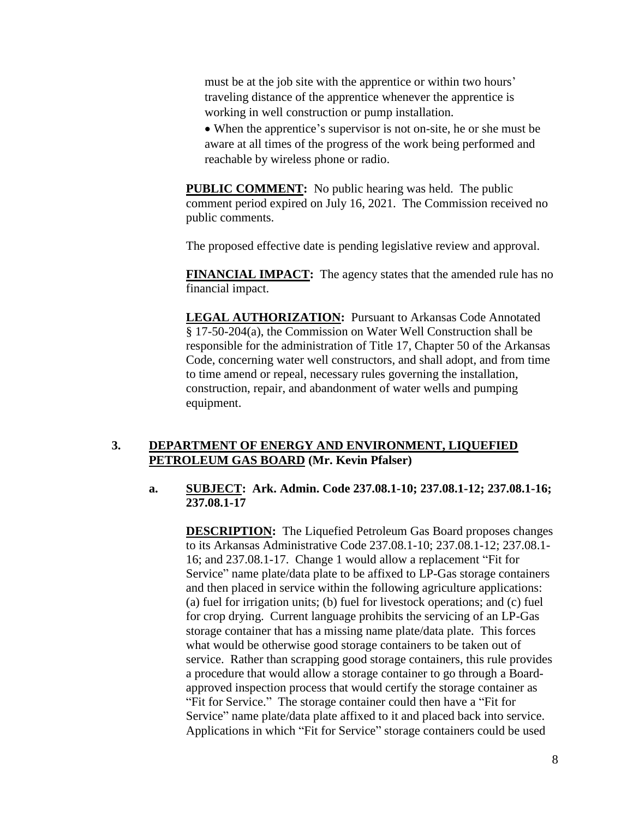must be at the job site with the apprentice or within two hours' traveling distance of the apprentice whenever the apprentice is working in well construction or pump installation.

 When the apprentice's supervisor is not on-site, he or she must be aware at all times of the progress of the work being performed and reachable by wireless phone or radio.

**PUBLIC COMMENT:** No public hearing was held. The public comment period expired on July 16, 2021. The Commission received no public comments.

The proposed effective date is pending legislative review and approval.

**FINANCIAL IMPACT:** The agency states that the amended rule has no financial impact.

**LEGAL AUTHORIZATION:** Pursuant to Arkansas Code Annotated § 17-50-204(a), the Commission on Water Well Construction shall be responsible for the administration of Title 17, Chapter 50 of the Arkansas Code, concerning water well constructors, and shall adopt, and from time to time amend or repeal, necessary rules governing the installation, construction, repair, and abandonment of water wells and pumping equipment.

# **3. DEPARTMENT OF ENERGY AND ENVIRONMENT, LIQUEFIED PETROLEUM GAS BOARD (Mr. Kevin Pfalser)**

## **a. SUBJECT: Ark. Admin. Code 237.08.1-10; 237.08.1-12; 237.08.1-16; 237.08.1-17**

**DESCRIPTION:** The Liquefied Petroleum Gas Board proposes changes to its Arkansas Administrative Code 237.08.1-10; 237.08.1-12; 237.08.1- 16; and 237.08.1-17. Change 1 would allow a replacement "Fit for Service" name plate/data plate to be affixed to LP-Gas storage containers and then placed in service within the following agriculture applications: (a) fuel for irrigation units; (b) fuel for livestock operations; and (c) fuel for crop drying. Current language prohibits the servicing of an LP-Gas storage container that has a missing name plate/data plate. This forces what would be otherwise good storage containers to be taken out of service. Rather than scrapping good storage containers, this rule provides a procedure that would allow a storage container to go through a Boardapproved inspection process that would certify the storage container as "Fit for Service." The storage container could then have a "Fit for Service" name plate/data plate affixed to it and placed back into service. Applications in which "Fit for Service" storage containers could be used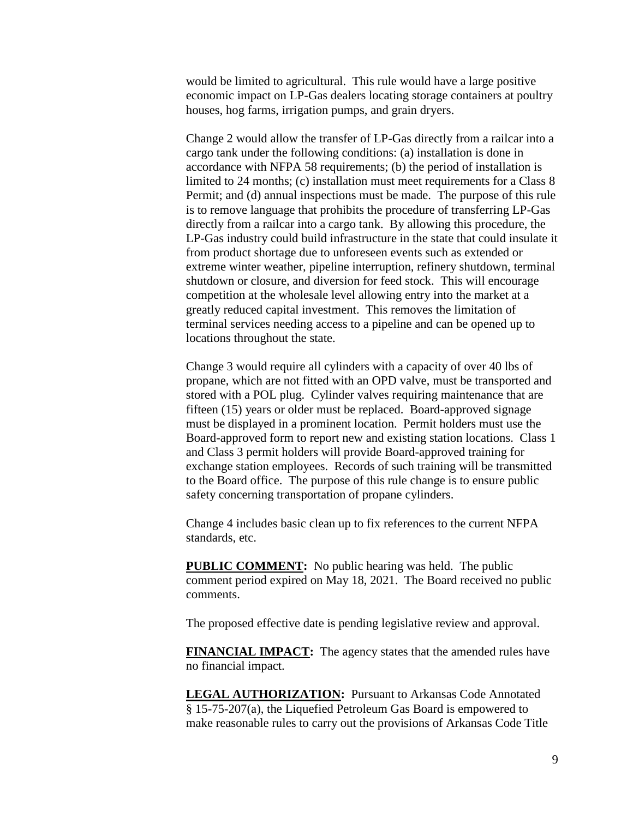would be limited to agricultural. This rule would have a large positive economic impact on LP-Gas dealers locating storage containers at poultry houses, hog farms, irrigation pumps, and grain dryers.

Change 2 would allow the transfer of LP-Gas directly from a railcar into a cargo tank under the following conditions: (a) installation is done in accordance with NFPA 58 requirements; (b) the period of installation is limited to 24 months; (c) installation must meet requirements for a Class 8 Permit; and (d) annual inspections must be made. The purpose of this rule is to remove language that prohibits the procedure of transferring LP-Gas directly from a railcar into a cargo tank. By allowing this procedure, the LP-Gas industry could build infrastructure in the state that could insulate it from product shortage due to unforeseen events such as extended or extreme winter weather, pipeline interruption, refinery shutdown, terminal shutdown or closure, and diversion for feed stock. This will encourage competition at the wholesale level allowing entry into the market at a greatly reduced capital investment. This removes the limitation of terminal services needing access to a pipeline and can be opened up to locations throughout the state.

Change 3 would require all cylinders with a capacity of over 40 lbs of propane, which are not fitted with an OPD valve, must be transported and stored with a POL plug. Cylinder valves requiring maintenance that are fifteen (15) years or older must be replaced. Board-approved signage must be displayed in a prominent location. Permit holders must use the Board-approved form to report new and existing station locations. Class 1 and Class 3 permit holders will provide Board-approved training for exchange station employees. Records of such training will be transmitted to the Board office. The purpose of this rule change is to ensure public safety concerning transportation of propane cylinders.

Change 4 includes basic clean up to fix references to the current NFPA standards, etc.

**PUBLIC COMMENT:** No public hearing was held. The public comment period expired on May 18, 2021. The Board received no public comments.

The proposed effective date is pending legislative review and approval.

**FINANCIAL IMPACT:** The agency states that the amended rules have no financial impact.

**LEGAL AUTHORIZATION:** Pursuant to Arkansas Code Annotated § 15-75-207(a), the Liquefied Petroleum Gas Board is empowered to make reasonable rules to carry out the provisions of Arkansas Code Title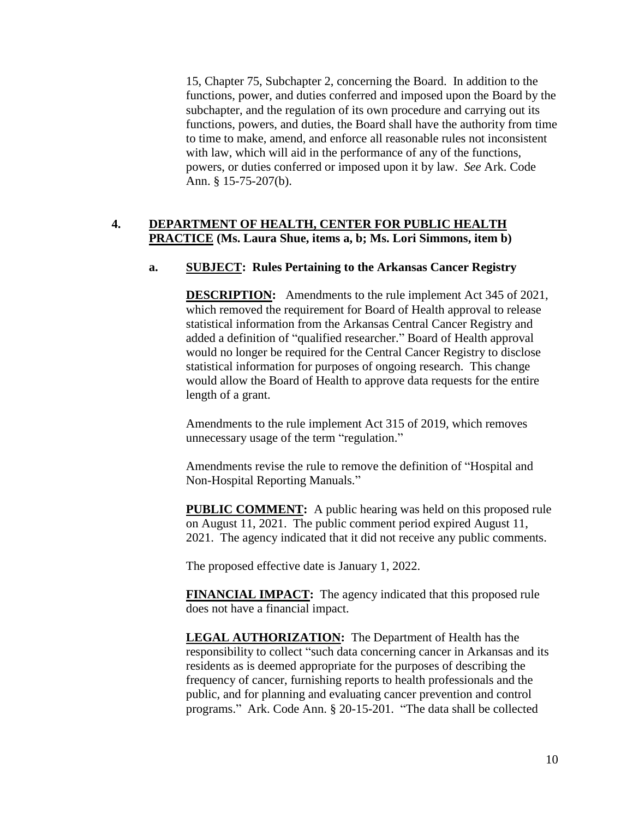15, Chapter 75, Subchapter 2, concerning the Board. In addition to the functions, power, and duties conferred and imposed upon the Board by the subchapter, and the regulation of its own procedure and carrying out its functions, powers, and duties, the Board shall have the authority from time to time to make, amend, and enforce all reasonable rules not inconsistent with law, which will aid in the performance of any of the functions, powers, or duties conferred or imposed upon it by law. *See* Ark. Code Ann. § 15-75-207(b).

# **4. DEPARTMENT OF HEALTH, CENTER FOR PUBLIC HEALTH PRACTICE (Ms. Laura Shue, items a, b; Ms. Lori Simmons, item b)**

# **a. SUBJECT: Rules Pertaining to the Arkansas Cancer Registry**

**DESCRIPTION:** Amendments to the rule implement Act 345 of 2021, which removed the requirement for Board of Health approval to release statistical information from the Arkansas Central Cancer Registry and added a definition of "qualified researcher." Board of Health approval would no longer be required for the Central Cancer Registry to disclose statistical information for purposes of ongoing research. This change would allow the Board of Health to approve data requests for the entire length of a grant.

Amendments to the rule implement Act 315 of 2019, which removes unnecessary usage of the term "regulation."

Amendments revise the rule to remove the definition of "Hospital and Non-Hospital Reporting Manuals."

**PUBLIC COMMENT:** A public hearing was held on this proposed rule on August 11, 2021. The public comment period expired August 11, 2021. The agency indicated that it did not receive any public comments.

The proposed effective date is January 1, 2022.

**FINANCIAL IMPACT:** The agency indicated that this proposed rule does not have a financial impact.

**LEGAL AUTHORIZATION:** The Department of Health has the responsibility to collect "such data concerning cancer in Arkansas and its residents as is deemed appropriate for the purposes of describing the frequency of cancer, furnishing reports to health professionals and the public, and for planning and evaluating cancer prevention and control programs." Ark. Code Ann. § 20-15-201. "The data shall be collected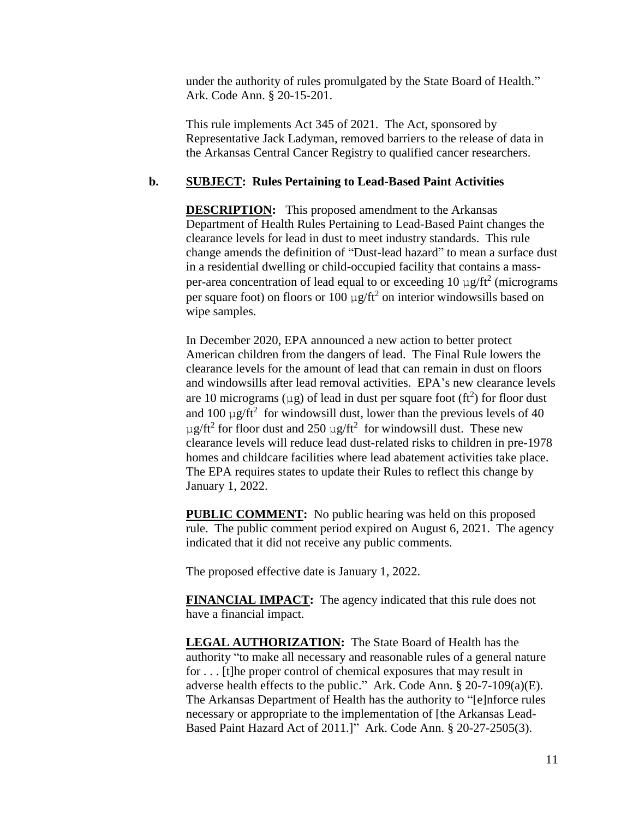under the authority of rules promulgated by the State Board of Health." Ark. Code Ann. § 20-15-201.

This rule implements Act 345 of 2021. The Act, sponsored by Representative Jack Ladyman, removed barriers to the release of data in the Arkansas Central Cancer Registry to qualified cancer researchers.

## **b. SUBJECT: Rules Pertaining to Lead-Based Paint Activities**

**DESCRIPTION:** This proposed amendment to the Arkansas Department of Health Rules Pertaining to Lead-Based Paint changes the clearance levels for lead in dust to meet industry standards. This rule change amends the definition of "Dust-lead hazard" to mean a surface dust in a residential dwelling or child-occupied facility that contains a massper-area concentration of lead equal to or exceeding  $10 \mu g / \text{ft}^2$  (micrograms per square foot) on floors or 100  $\mu$ g/ft<sup>2</sup> on interior windowsills based on wipe samples.

In December 2020, EPA announced a new action to better protect American children from the dangers of lead. The Final Rule lowers the clearance levels for the amount of lead that can remain in dust on floors and windowsills after lead removal activities. EPA's new clearance levels are 10 micrograms ( $\mu$ g) of lead in dust per square foot (ft<sup>2</sup>) for floor dust and 100  $\mu$ g/ft<sup>2</sup> for windowsill dust, lower than the previous levels of 40  $\mu$ g/ft<sup>2</sup> for floor dust and 250  $\mu$ g/ft<sup>2</sup> for windowsill dust. These new clearance levels will reduce lead dust-related risks to children in pre-1978 homes and childcare facilities where lead abatement activities take place. The EPA requires states to update their Rules to reflect this change by January 1, 2022.

**PUBLIC COMMENT:** No public hearing was held on this proposed rule. The public comment period expired on August 6, 2021. The agency indicated that it did not receive any public comments.

The proposed effective date is January 1, 2022.

**FINANCIAL IMPACT:** The agency indicated that this rule does not have a financial impact.

**LEGAL AUTHORIZATION:** The State Board of Health has the authority "to make all necessary and reasonable rules of a general nature for . . . [t]he proper control of chemical exposures that may result in adverse health effects to the public." Ark. Code Ann. § 20-7-109(a)(E). The Arkansas Department of Health has the authority to "[e]nforce rules necessary or appropriate to the implementation of [the Arkansas Lead-Based Paint Hazard Act of 2011.]" Ark. Code Ann. § 20-27-2505(3).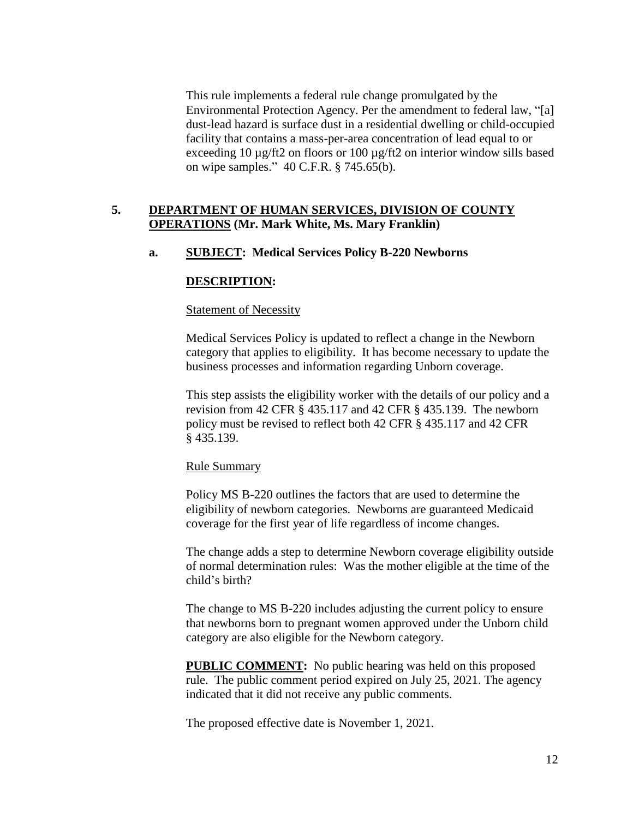This rule implements a federal rule change promulgated by the Environmental Protection Agency. Per the amendment to federal law, "[a] dust-lead hazard is surface dust in a residential dwelling or child-occupied facility that contains a mass-per-area concentration of lead equal to or exceeding 10 µg/ft2 on floors or 100 µg/ft2 on interior window sills based on wipe samples." 40 C.F.R. § 745.65(b).

# **5. DEPARTMENT OF HUMAN SERVICES, DIVISION OF COUNTY OPERATIONS (Mr. Mark White, Ms. Mary Franklin)**

## **a. SUBJECT: Medical Services Policy B-220 Newborns**

## **DESCRIPTION:**

#### Statement of Necessity

Medical Services Policy is updated to reflect a change in the Newborn category that applies to eligibility. It has become necessary to update the business processes and information regarding Unborn coverage.

This step assists the eligibility worker with the details of our policy and a revision from 42 CFR § 435.117 and 42 CFR § 435.139. The newborn policy must be revised to reflect both 42 CFR § 435.117 and 42 CFR § 435.139.

#### Rule Summary

Policy MS B-220 outlines the factors that are used to determine the eligibility of newborn categories. Newborns are guaranteed Medicaid coverage for the first year of life regardless of income changes.

The change adds a step to determine Newborn coverage eligibility outside of normal determination rules: Was the mother eligible at the time of the child's birth?

The change to MS B-220 includes adjusting the current policy to ensure that newborns born to pregnant women approved under the Unborn child category are also eligible for the Newborn category.

**PUBLIC COMMENT:** No public hearing was held on this proposed rule. The public comment period expired on July 25, 2021. The agency indicated that it did not receive any public comments.

The proposed effective date is November 1, 2021.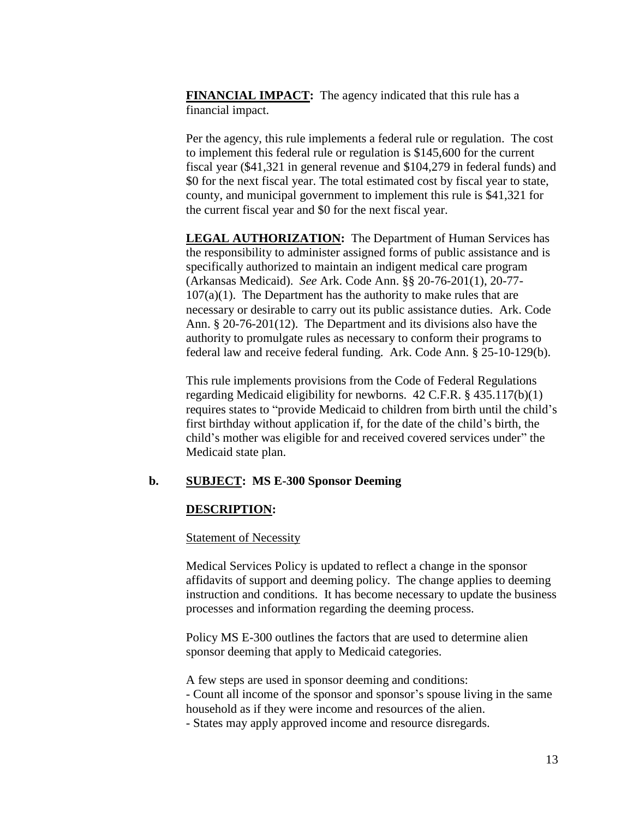**FINANCIAL IMPACT:** The agency indicated that this rule has a financial impact.

Per the agency, this rule implements a federal rule or regulation. The cost to implement this federal rule or regulation is \$145,600 for the current fiscal year (\$41,321 in general revenue and \$104,279 in federal funds) and \$0 for the next fiscal year. The total estimated cost by fiscal year to state, county, and municipal government to implement this rule is \$41,321 for the current fiscal year and \$0 for the next fiscal year.

**LEGAL AUTHORIZATION:** The Department of Human Services has the responsibility to administer assigned forms of public assistance and is specifically authorized to maintain an indigent medical care program (Arkansas Medicaid). *See* Ark. Code Ann. §§ 20-76-201(1), 20-77-  $107(a)(1)$ . The Department has the authority to make rules that are necessary or desirable to carry out its public assistance duties. Ark. Code Ann. § 20-76-201(12). The Department and its divisions also have the authority to promulgate rules as necessary to conform their programs to federal law and receive federal funding. Ark. Code Ann. § 25-10-129(b).

This rule implements provisions from the Code of Federal Regulations regarding Medicaid eligibility for newborns. 42 C.F.R. § 435.117(b)(1) requires states to "provide Medicaid to children from birth until the child's first birthday without application if, for the date of the child's birth, the child's mother was eligible for and received covered services under" the Medicaid state plan.

# **b. SUBJECT: MS E-300 Sponsor Deeming**

### **DESCRIPTION:**

#### **Statement of Necessity**

Medical Services Policy is updated to reflect a change in the sponsor affidavits of support and deeming policy. The change applies to deeming instruction and conditions. It has become necessary to update the business processes and information regarding the deeming process.

Policy MS E-300 outlines the factors that are used to determine alien sponsor deeming that apply to Medicaid categories.

A few steps are used in sponsor deeming and conditions:

- Count all income of the sponsor and sponsor's spouse living in the same household as if they were income and resources of the alien.

- States may apply approved income and resource disregards.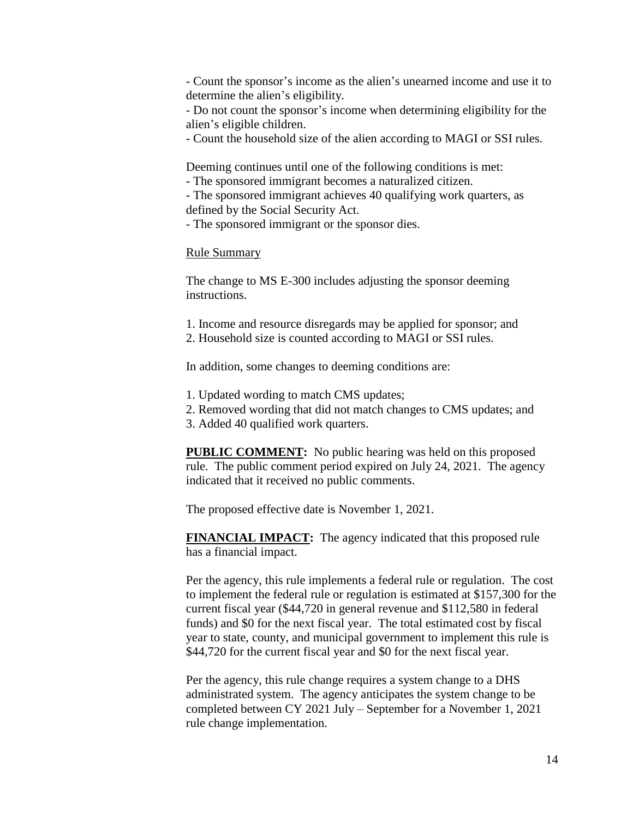- Count the sponsor's income as the alien's unearned income and use it to determine the alien's eligibility.

- Do not count the sponsor's income when determining eligibility for the alien's eligible children.

- Count the household size of the alien according to MAGI or SSI rules.

Deeming continues until one of the following conditions is met:

- The sponsored immigrant becomes a naturalized citizen.

- The sponsored immigrant achieves 40 qualifying work quarters, as defined by the Social Security Act.

- The sponsored immigrant or the sponsor dies.

### Rule Summary

The change to MS E-300 includes adjusting the sponsor deeming instructions.

- 1. Income and resource disregards may be applied for sponsor; and
- 2. Household size is counted according to MAGI or SSI rules.

In addition, some changes to deeming conditions are:

- 1. Updated wording to match CMS updates;
- 2. Removed wording that did not match changes to CMS updates; and
- 3. Added 40 qualified work quarters.

**PUBLIC COMMENT:** No public hearing was held on this proposed rule. The public comment period expired on July 24, 2021. The agency indicated that it received no public comments.

The proposed effective date is November 1, 2021.

**FINANCIAL IMPACT:** The agency indicated that this proposed rule has a financial impact.

Per the agency, this rule implements a federal rule or regulation. The cost to implement the federal rule or regulation is estimated at \$157,300 for the current fiscal year (\$44,720 in general revenue and \$112,580 in federal funds) and \$0 for the next fiscal year. The total estimated cost by fiscal year to state, county, and municipal government to implement this rule is \$44,720 for the current fiscal year and \$0 for the next fiscal year.

Per the agency, this rule change requires a system change to a DHS administrated system. The agency anticipates the system change to be completed between CY 2021 July – September for a November 1, 2021 rule change implementation.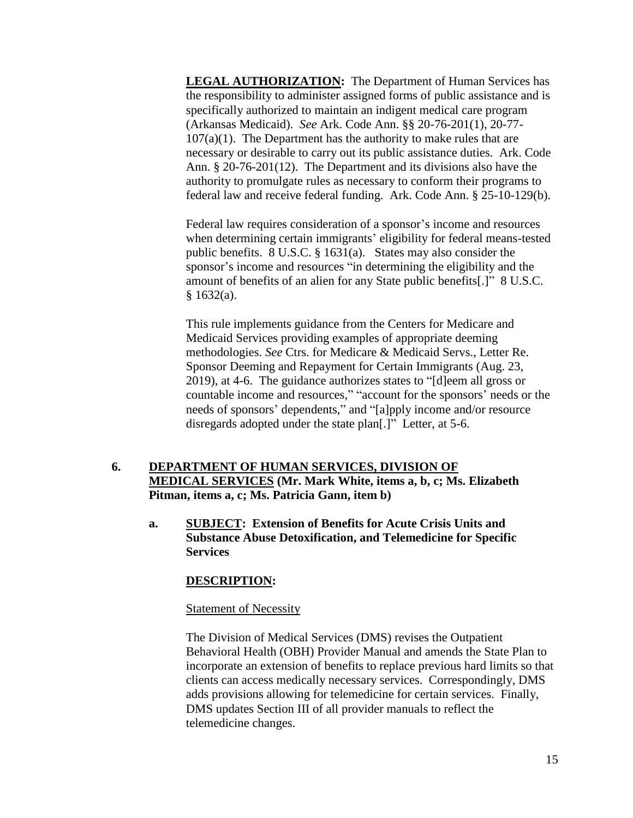**LEGAL AUTHORIZATION:** The Department of Human Services has the responsibility to administer assigned forms of public assistance and is specifically authorized to maintain an indigent medical care program (Arkansas Medicaid). *See* Ark. Code Ann. §§ 20-76-201(1), 20-77-  $107(a)(1)$ . The Department has the authority to make rules that are necessary or desirable to carry out its public assistance duties. Ark. Code Ann. § 20-76-201(12). The Department and its divisions also have the authority to promulgate rules as necessary to conform their programs to federal law and receive federal funding. Ark. Code Ann. § 25-10-129(b).

Federal law requires consideration of a sponsor's income and resources when determining certain immigrants' eligibility for federal means-tested public benefits. 8 U.S.C. § 1631(a). States may also consider the sponsor's income and resources "in determining the eligibility and the amount of benefits of an alien for any State public benefits[.]" 8 U.S.C.  $§ 1632(a).$ 

This rule implements guidance from the Centers for Medicare and Medicaid Services providing examples of appropriate deeming methodologies. *See* Ctrs. for Medicare & Medicaid Servs., Letter Re. Sponsor Deeming and Repayment for Certain Immigrants (Aug. 23, 2019), at 4-6. The guidance authorizes states to "[d]eem all gross or countable income and resources," "account for the sponsors' needs or the needs of sponsors' dependents," and "[a]pply income and/or resource disregards adopted under the state plan[.]" Letter, at 5-6.

# **6. DEPARTMENT OF HUMAN SERVICES, DIVISION OF MEDICAL SERVICES (Mr. Mark White, items a, b, c; Ms. Elizabeth Pitman, items a, c; Ms. Patricia Gann, item b)**

**a. SUBJECT: Extension of Benefits for Acute Crisis Units and Substance Abuse Detoxification, and Telemedicine for Specific Services**

# **DESCRIPTION:**

### Statement of Necessity

The Division of Medical Services (DMS) revises the Outpatient Behavioral Health (OBH) Provider Manual and amends the State Plan to incorporate an extension of benefits to replace previous hard limits so that clients can access medically necessary services. Correspondingly, DMS adds provisions allowing for telemedicine for certain services. Finally, DMS updates Section III of all provider manuals to reflect the telemedicine changes.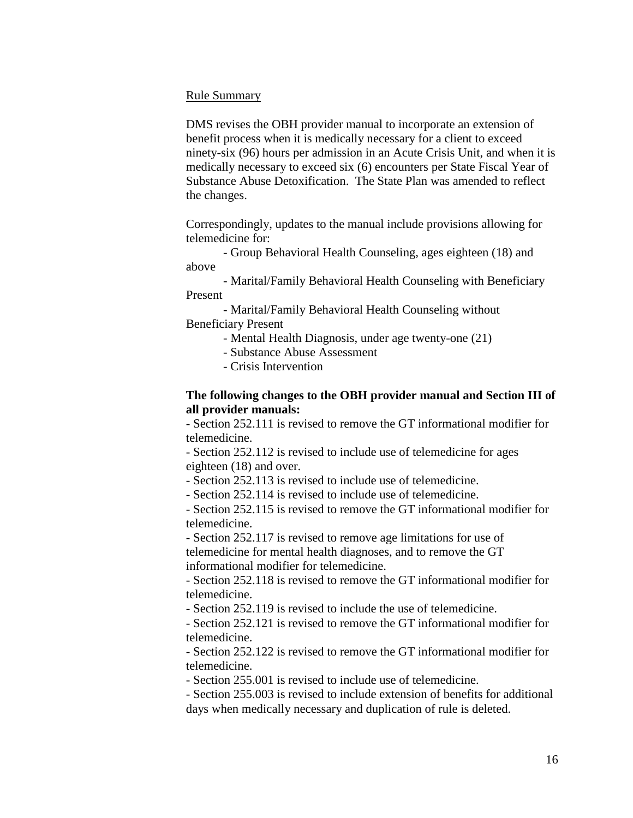## Rule Summary

DMS revises the OBH provider manual to incorporate an extension of benefit process when it is medically necessary for a client to exceed ninety-six (96) hours per admission in an Acute Crisis Unit, and when it is medically necessary to exceed six (6) encounters per State Fiscal Year of Substance Abuse Detoxification. The State Plan was amended to reflect the changes.

Correspondingly, updates to the manual include provisions allowing for telemedicine for:

- Group Behavioral Health Counseling, ages eighteen (18) and above

- Marital/Family Behavioral Health Counseling with Beneficiary Present

- Marital/Family Behavioral Health Counseling without Beneficiary Present

- Mental Health Diagnosis, under age twenty-one (21)

- Substance Abuse Assessment
- Crisis Intervention

# **The following changes to the OBH provider manual and Section III of all provider manuals:**

- Section 252.111 is revised to remove the GT informational modifier for telemedicine.

- Section 252.112 is revised to include use of telemedicine for ages eighteen (18) and over.

- Section 252.113 is revised to include use of telemedicine.

- Section 252.114 is revised to include use of telemedicine.

- Section 252.115 is revised to remove the GT informational modifier for telemedicine.

- Section 252.117 is revised to remove age limitations for use of telemedicine for mental health diagnoses, and to remove the GT informational modifier for telemedicine.

- Section 252.118 is revised to remove the GT informational modifier for telemedicine.

- Section 252.119 is revised to include the use of telemedicine.

- Section 252.121 is revised to remove the GT informational modifier for telemedicine.

- Section 252.122 is revised to remove the GT informational modifier for telemedicine.

- Section 255.001 is revised to include use of telemedicine.

- Section 255.003 is revised to include extension of benefits for additional days when medically necessary and duplication of rule is deleted.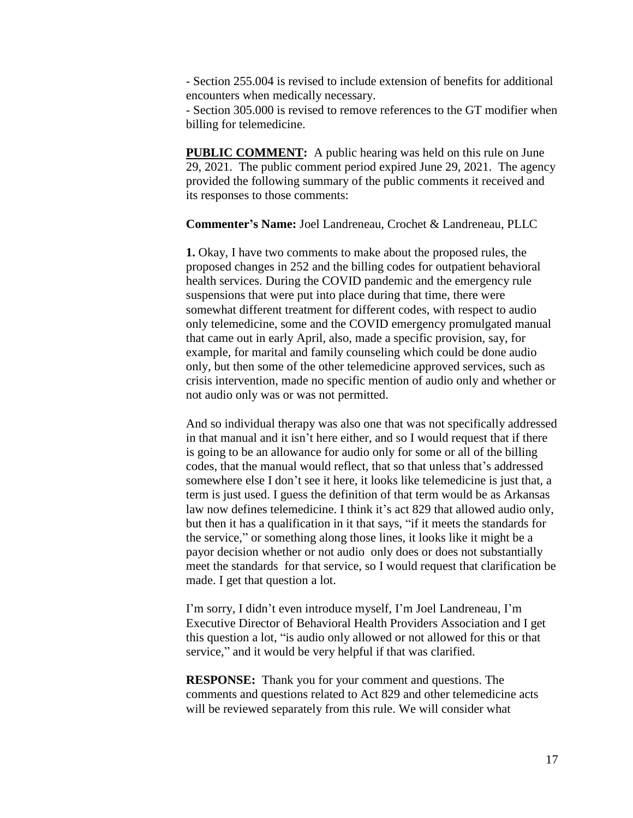- Section 255.004 is revised to include extension of benefits for additional encounters when medically necessary.

- Section 305.000 is revised to remove references to the GT modifier when billing for telemedicine.

**PUBLIC COMMENT:** A public hearing was held on this rule on June 29, 2021. The public comment period expired June 29, 2021. The agency provided the following summary of the public comments it received and its responses to those comments:

**Commenter's Name:** Joel Landreneau, Crochet & Landreneau, PLLC

**1.** Okay, I have two comments to make about the proposed rules, the proposed changes in 252 and the billing codes for outpatient behavioral health services. During the COVID pandemic and the emergency rule suspensions that were put into place during that time, there were somewhat different treatment for different codes, with respect to audio only telemedicine, some and the COVID emergency promulgated manual that came out in early April, also, made a specific provision, say, for example, for marital and family counseling which could be done audio only, but then some of the other telemedicine approved services, such as crisis intervention, made no specific mention of audio only and whether or not audio only was or was not permitted.

And so individual therapy was also one that was not specifically addressed in that manual and it isn't here either, and so I would request that if there is going to be an allowance for audio only for some or all of the billing codes, that the manual would reflect, that so that unless that's addressed somewhere else I don't see it here, it looks like telemedicine is just that, a term is just used. I guess the definition of that term would be as Arkansas law now defines telemedicine. I think it's act 829 that allowed audio only, but then it has a qualification in it that says, "if it meets the standards for the service," or something along those lines, it looks like it might be a payor decision whether or not audio only does or does not substantially meet the standards for that service, so I would request that clarification be made. I get that question a lot.

I'm sorry, I didn't even introduce myself, I'm Joel Landreneau, I'm Executive Director of Behavioral Health Providers Association and I get this question a lot, "is audio only allowed or not allowed for this or that service," and it would be very helpful if that was clarified.

**RESPONSE:** Thank you for your comment and questions. The comments and questions related to Act 829 and other telemedicine acts will be reviewed separately from this rule. We will consider what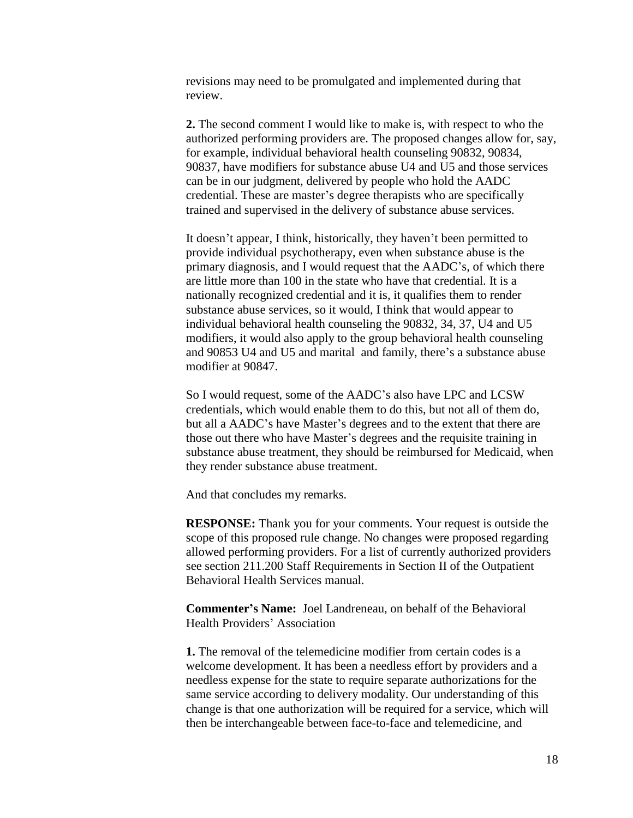revisions may need to be promulgated and implemented during that review.

**2.** The second comment I would like to make is, with respect to who the authorized performing providers are. The proposed changes allow for, say, for example, individual behavioral health counseling 90832, 90834, 90837, have modifiers for substance abuse U4 and U5 and those services can be in our judgment, delivered by people who hold the AADC credential. These are master's degree therapists who are specifically trained and supervised in the delivery of substance abuse services.

It doesn't appear, I think, historically, they haven't been permitted to provide individual psychotherapy, even when substance abuse is the primary diagnosis, and I would request that the AADC's, of which there are little more than 100 in the state who have that credential. It is a nationally recognized credential and it is, it qualifies them to render substance abuse services, so it would, I think that would appear to individual behavioral health counseling the 90832, 34, 37, U4 and U5 modifiers, it would also apply to the group behavioral health counseling and 90853 U4 and U5 and marital and family, there's a substance abuse modifier at 90847.

So I would request, some of the AADC's also have LPC and LCSW credentials, which would enable them to do this, but not all of them do, but all a AADC's have Master's degrees and to the extent that there are those out there who have Master's degrees and the requisite training in substance abuse treatment, they should be reimbursed for Medicaid, when they render substance abuse treatment.

And that concludes my remarks.

**RESPONSE:** Thank you for your comments. Your request is outside the scope of this proposed rule change. No changes were proposed regarding allowed performing providers. For a list of currently authorized providers see section 211.200 Staff Requirements in Section II of the Outpatient Behavioral Health Services manual.

**Commenter's Name:** Joel Landreneau, on behalf of the Behavioral Health Providers' Association

**1.** The removal of the telemedicine modifier from certain codes is a welcome development. It has been a needless effort by providers and a needless expense for the state to require separate authorizations for the same service according to delivery modality. Our understanding of this change is that one authorization will be required for a service, which will then be interchangeable between face-to-face and telemedicine, and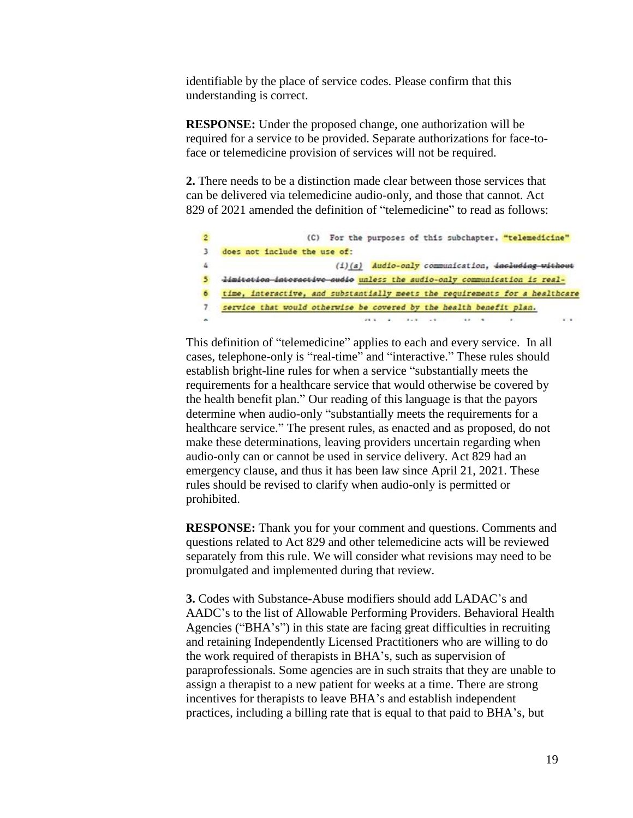identifiable by the place of service codes. Please confirm that this understanding is correct.

**RESPONSE:** Under the proposed change, one authorization will be required for a service to be provided. Separate authorizations for face-toface or telemedicine provision of services will not be required.

**2.** There needs to be a distinction made clear between those services that can be delivered via telemedicine audio-only, and those that cannot. Act 829 of 2021 amended the definition of "telemedicine" to read as follows:

| $2^{\circ}$ | For the purposes of this subchapter. "telemedicine"<br>(C)                   |
|-------------|------------------------------------------------------------------------------|
| 3.          | does not include the use of:                                                 |
| 4.          | (i)(s) Audio-only communication, including without                           |
| 5.          | limitation interactive audio unless the audio-only communication is real-    |
| 6.          | time, interactive, and substantially meets the requirements for a healthcare |
| 7.          | service that would otherwise be covered by the health benefit plan.          |
| $\sim$      | $x + 1$ $x - 1$ $x + 1$ $x + 1$<br>$\cdots$                                  |

This definition of "telemedicine" applies to each and every service. In all cases, telephone-only is "real-time" and "interactive." These rules should establish bright-line rules for when a service "substantially meets the requirements for a healthcare service that would otherwise be covered by the health benefit plan." Our reading of this language is that the payors determine when audio-only "substantially meets the requirements for a healthcare service." The present rules, as enacted and as proposed, do not make these determinations, leaving providers uncertain regarding when audio-only can or cannot be used in service delivery. Act 829 had an emergency clause, and thus it has been law since April 21, 2021. These rules should be revised to clarify when audio-only is permitted or prohibited.

**RESPONSE:** Thank you for your comment and questions. Comments and questions related to Act 829 and other telemedicine acts will be reviewed separately from this rule. We will consider what revisions may need to be promulgated and implemented during that review.

**3.** Codes with Substance-Abuse modifiers should add LADAC's and AADC's to the list of Allowable Performing Providers. Behavioral Health Agencies ("BHA's") in this state are facing great difficulties in recruiting and retaining Independently Licensed Practitioners who are willing to do the work required of therapists in BHA's, such as supervision of paraprofessionals. Some agencies are in such straits that they are unable to assign a therapist to a new patient for weeks at a time. There are strong incentives for therapists to leave BHA's and establish independent practices, including a billing rate that is equal to that paid to BHA's, but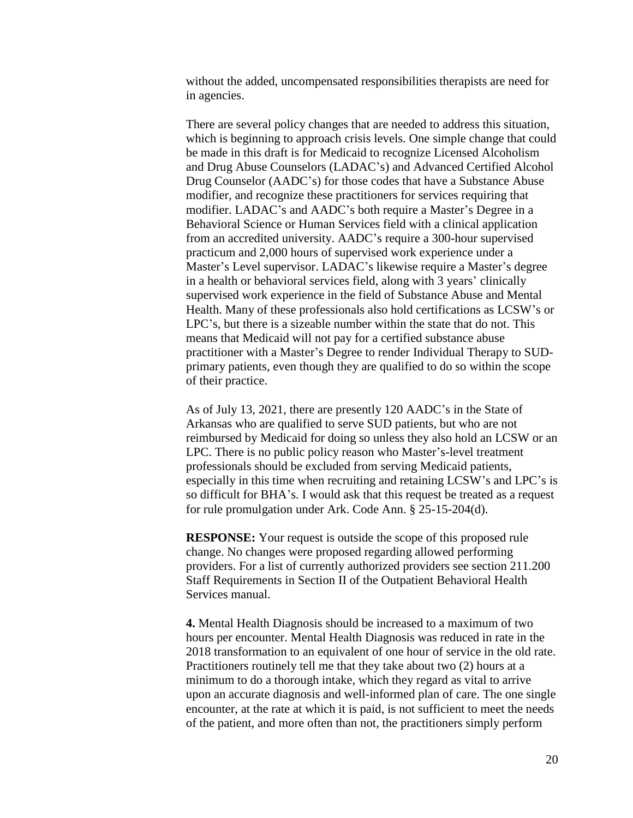without the added, uncompensated responsibilities therapists are need for in agencies.

There are several policy changes that are needed to address this situation, which is beginning to approach crisis levels. One simple change that could be made in this draft is for Medicaid to recognize Licensed Alcoholism and Drug Abuse Counselors (LADAC's) and Advanced Certified Alcohol Drug Counselor (AADC's) for those codes that have a Substance Abuse modifier, and recognize these practitioners for services requiring that modifier. LADAC's and AADC's both require a Master's Degree in a Behavioral Science or Human Services field with a clinical application from an accredited university. AADC's require a 300-hour supervised practicum and 2,000 hours of supervised work experience under a Master's Level supervisor. LADAC's likewise require a Master's degree in a health or behavioral services field, along with 3 years' clinically supervised work experience in the field of Substance Abuse and Mental Health. Many of these professionals also hold certifications as LCSW's or LPC's, but there is a sizeable number within the state that do not. This means that Medicaid will not pay for a certified substance abuse practitioner with a Master's Degree to render Individual Therapy to SUDprimary patients, even though they are qualified to do so within the scope of their practice.

As of July 13, 2021, there are presently 120 AADC's in the State of Arkansas who are qualified to serve SUD patients, but who are not reimbursed by Medicaid for doing so unless they also hold an LCSW or an LPC. There is no public policy reason who Master's-level treatment professionals should be excluded from serving Medicaid patients, especially in this time when recruiting and retaining LCSW's and LPC's is so difficult for BHA's. I would ask that this request be treated as a request for rule promulgation under Ark. Code Ann. § 25-15-204(d).

**RESPONSE:** Your request is outside the scope of this proposed rule change. No changes were proposed regarding allowed performing providers. For a list of currently authorized providers see section 211.200 Staff Requirements in Section II of the Outpatient Behavioral Health Services manual.

**4.** Mental Health Diagnosis should be increased to a maximum of two hours per encounter. Mental Health Diagnosis was reduced in rate in the 2018 transformation to an equivalent of one hour of service in the old rate. Practitioners routinely tell me that they take about two (2) hours at a minimum to do a thorough intake, which they regard as vital to arrive upon an accurate diagnosis and well-informed plan of care. The one single encounter, at the rate at which it is paid, is not sufficient to meet the needs of the patient, and more often than not, the practitioners simply perform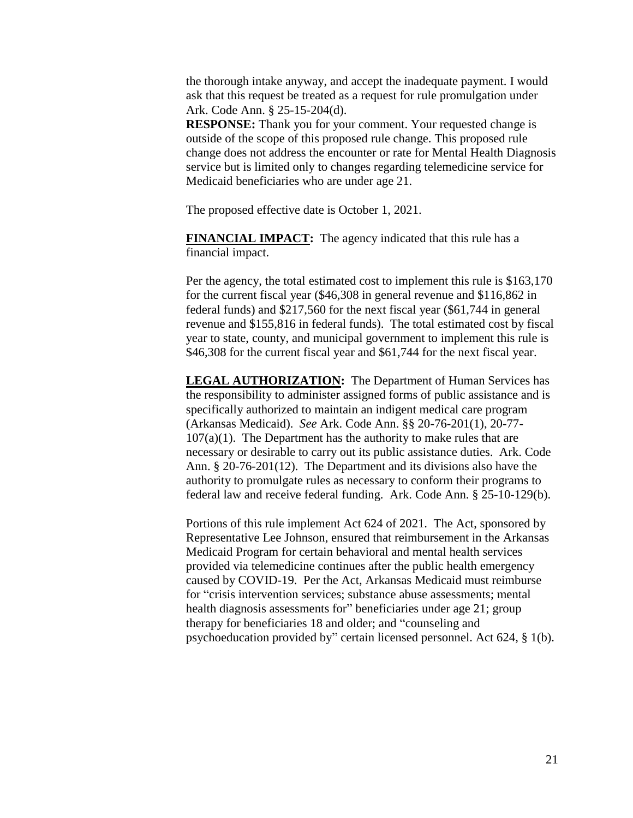the thorough intake anyway, and accept the inadequate payment. I would ask that this request be treated as a request for rule promulgation under Ark. Code Ann. § 25-15-204(d).

**RESPONSE:** Thank you for your comment. Your requested change is outside of the scope of this proposed rule change. This proposed rule change does not address the encounter or rate for Mental Health Diagnosis service but is limited only to changes regarding telemedicine service for Medicaid beneficiaries who are under age 21.

The proposed effective date is October 1, 2021.

**FINANCIAL IMPACT:** The agency indicated that this rule has a financial impact.

Per the agency, the total estimated cost to implement this rule is \$163,170 for the current fiscal year (\$46,308 in general revenue and \$116,862 in federal funds) and \$217,560 for the next fiscal year (\$61,744 in general revenue and \$155,816 in federal funds). The total estimated cost by fiscal year to state, county, and municipal government to implement this rule is \$46,308 for the current fiscal year and \$61,744 for the next fiscal year.

**LEGAL AUTHORIZATION:** The Department of Human Services has the responsibility to administer assigned forms of public assistance and is specifically authorized to maintain an indigent medical care program (Arkansas Medicaid). *See* Ark. Code Ann. §§ 20-76-201(1), 20-77-  $107(a)(1)$ . The Department has the authority to make rules that are necessary or desirable to carry out its public assistance duties. Ark. Code Ann. § 20-76-201(12). The Department and its divisions also have the authority to promulgate rules as necessary to conform their programs to federal law and receive federal funding. Ark. Code Ann. § 25-10-129(b).

Portions of this rule implement Act 624 of 2021. The Act, sponsored by Representative Lee Johnson, ensured that reimbursement in the Arkansas Medicaid Program for certain behavioral and mental health services provided via telemedicine continues after the public health emergency caused by COVID-19. Per the Act, Arkansas Medicaid must reimburse for "crisis intervention services; substance abuse assessments; mental health diagnosis assessments for" beneficiaries under age 21; group therapy for beneficiaries 18 and older; and "counseling and psychoeducation provided by" certain licensed personnel. Act 624, § 1(b).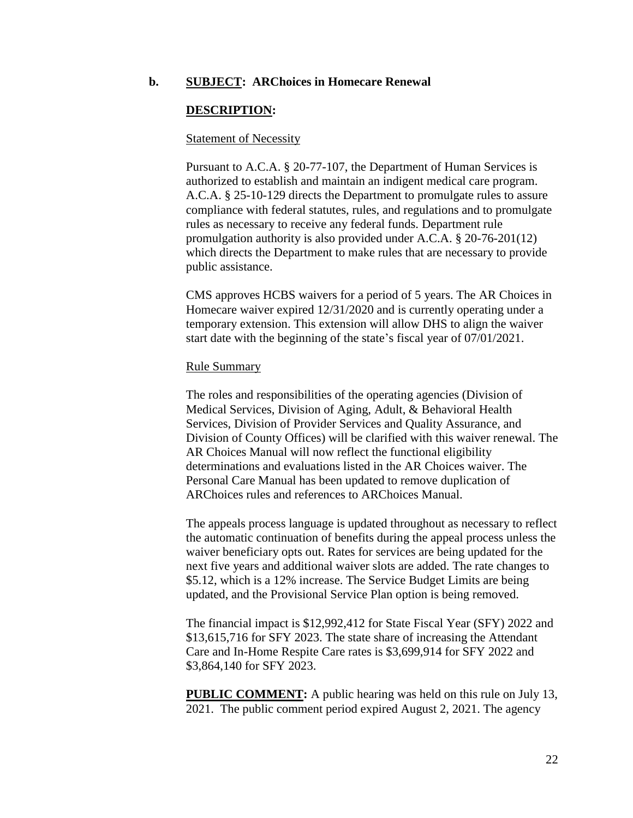### **b. SUBJECT: ARChoices in Homecare Renewal**

## **DESCRIPTION:**

### Statement of Necessity

Pursuant to A.C.A. § 20-77-107, the Department of Human Services is authorized to establish and maintain an indigent medical care program. A.C.A. § 25-10-129 directs the Department to promulgate rules to assure compliance with federal statutes, rules, and regulations and to promulgate rules as necessary to receive any federal funds. Department rule promulgation authority is also provided under A.C.A. § 20-76-201(12) which directs the Department to make rules that are necessary to provide public assistance.

CMS approves HCBS waivers for a period of 5 years. The AR Choices in Homecare waiver expired 12/31/2020 and is currently operating under a temporary extension. This extension will allow DHS to align the waiver start date with the beginning of the state's fiscal year of 07/01/2021.

### Rule Summary

The roles and responsibilities of the operating agencies (Division of Medical Services, Division of Aging, Adult, & Behavioral Health Services, Division of Provider Services and Quality Assurance, and Division of County Offices) will be clarified with this waiver renewal. The AR Choices Manual will now reflect the functional eligibility determinations and evaluations listed in the AR Choices waiver. The Personal Care Manual has been updated to remove duplication of ARChoices rules and references to ARChoices Manual.

The appeals process language is updated throughout as necessary to reflect the automatic continuation of benefits during the appeal process unless the waiver beneficiary opts out. Rates for services are being updated for the next five years and additional waiver slots are added. The rate changes to \$5.12, which is a 12% increase. The Service Budget Limits are being updated, and the Provisional Service Plan option is being removed.

The financial impact is \$12,992,412 for State Fiscal Year (SFY) 2022 and \$13,615,716 for SFY 2023. The state share of increasing the Attendant Care and In-Home Respite Care rates is \$3,699,914 for SFY 2022 and \$3,864,140 for SFY 2023.

**PUBLIC COMMENT:** A public hearing was held on this rule on July 13, 2021. The public comment period expired August 2, 2021. The agency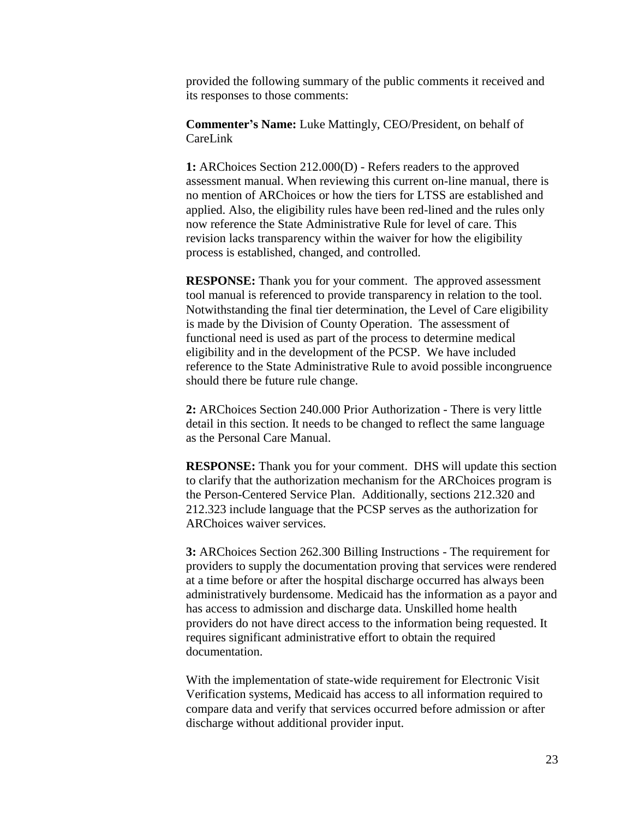provided the following summary of the public comments it received and its responses to those comments:

**Commenter's Name:** Luke Mattingly, CEO/President, on behalf of CareLink

**1:** ARChoices Section 212.000(D) - Refers readers to the approved assessment manual. When reviewing this current on-line manual, there is no mention of ARChoices or how the tiers for LTSS are established and applied. Also, the eligibility rules have been red-lined and the rules only now reference the State Administrative Rule for level of care. This revision lacks transparency within the waiver for how the eligibility process is established, changed, and controlled.

**RESPONSE:** Thank you for your comment. The approved assessment tool manual is referenced to provide transparency in relation to the tool. Notwithstanding the final tier determination, the Level of Care eligibility is made by the Division of County Operation. The assessment of functional need is used as part of the process to determine medical eligibility and in the development of the PCSP. We have included reference to the State Administrative Rule to avoid possible incongruence should there be future rule change.

**2:** ARChoices Section 240.000 Prior Authorization - There is very little detail in this section. It needs to be changed to reflect the same language as the Personal Care Manual.

**RESPONSE:** Thank you for your comment. DHS will update this section to clarify that the authorization mechanism for the ARChoices program is the Person-Centered Service Plan. Additionally, sections 212.320 and 212.323 include language that the PCSP serves as the authorization for ARChoices waiver services.

**3:** ARChoices Section 262.300 Billing Instructions - The requirement for providers to supply the documentation proving that services were rendered at a time before or after the hospital discharge occurred has always been administratively burdensome. Medicaid has the information as a payor and has access to admission and discharge data. Unskilled home health providers do not have direct access to the information being requested. It requires significant administrative effort to obtain the required documentation.

With the implementation of state-wide requirement for Electronic Visit Verification systems, Medicaid has access to all information required to compare data and verify that services occurred before admission or after discharge without additional provider input.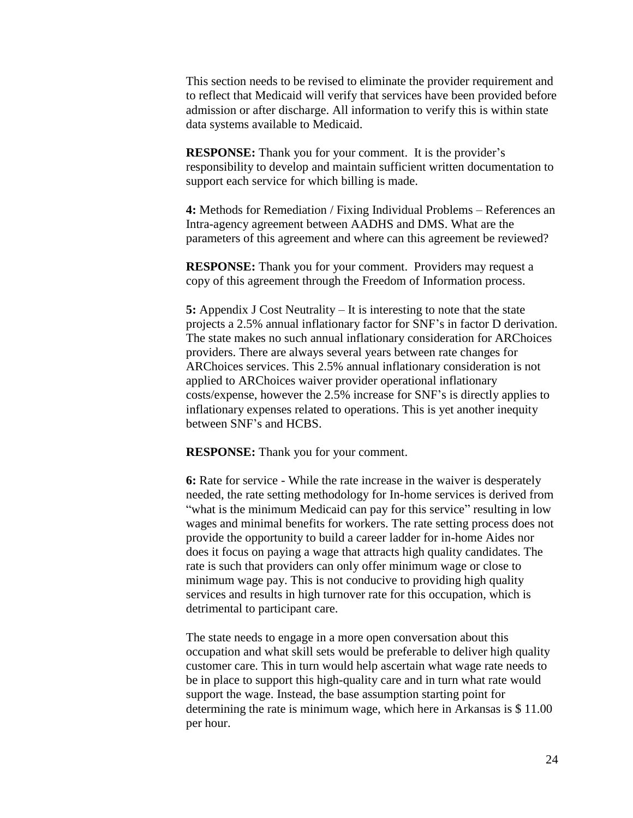This section needs to be revised to eliminate the provider requirement and to reflect that Medicaid will verify that services have been provided before admission or after discharge. All information to verify this is within state data systems available to Medicaid.

**RESPONSE:** Thank you for your comment. It is the provider's responsibility to develop and maintain sufficient written documentation to support each service for which billing is made.

**4:** Methods for Remediation / Fixing Individual Problems – References an Intra-agency agreement between AADHS and DMS. What are the parameters of this agreement and where can this agreement be reviewed?

**RESPONSE:** Thank you for your comment. Providers may request a copy of this agreement through the Freedom of Information process.

**5:** Appendix J Cost Neutrality – It is interesting to note that the state projects a 2.5% annual inflationary factor for SNF's in factor D derivation. The state makes no such annual inflationary consideration for ARChoices providers. There are always several years between rate changes for ARChoices services. This 2.5% annual inflationary consideration is not applied to ARChoices waiver provider operational inflationary costs/expense, however the 2.5% increase for SNF's is directly applies to inflationary expenses related to operations. This is yet another inequity between SNF's and HCBS.

**RESPONSE:** Thank you for your comment.

**6:** Rate for service - While the rate increase in the waiver is desperately needed, the rate setting methodology for In-home services is derived from "what is the minimum Medicaid can pay for this service" resulting in low wages and minimal benefits for workers. The rate setting process does not provide the opportunity to build a career ladder for in-home Aides nor does it focus on paying a wage that attracts high quality candidates. The rate is such that providers can only offer minimum wage or close to minimum wage pay. This is not conducive to providing high quality services and results in high turnover rate for this occupation, which is detrimental to participant care.

The state needs to engage in a more open conversation about this occupation and what skill sets would be preferable to deliver high quality customer care. This in turn would help ascertain what wage rate needs to be in place to support this high-quality care and in turn what rate would support the wage. Instead, the base assumption starting point for determining the rate is minimum wage, which here in Arkansas is \$ 11.00 per hour.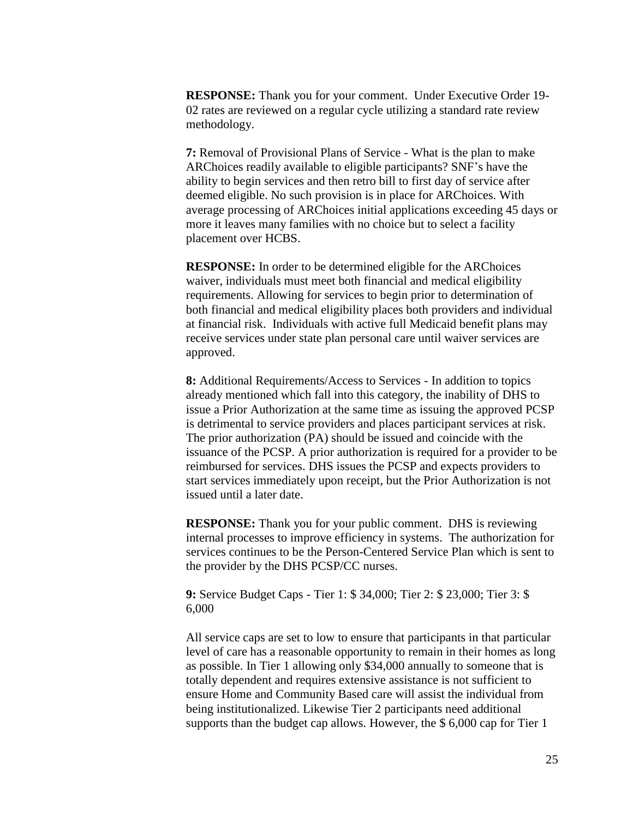**RESPONSE:** Thank you for your comment. Under Executive Order 19- 02 rates are reviewed on a regular cycle utilizing a standard rate review methodology.

**7:** Removal of Provisional Plans of Service - What is the plan to make ARChoices readily available to eligible participants? SNF's have the ability to begin services and then retro bill to first day of service after deemed eligible. No such provision is in place for ARChoices. With average processing of ARChoices initial applications exceeding 45 days or more it leaves many families with no choice but to select a facility placement over HCBS.

**RESPONSE:** In order to be determined eligible for the ARChoices waiver, individuals must meet both financial and medical eligibility requirements. Allowing for services to begin prior to determination of both financial and medical eligibility places both providers and individual at financial risk. Individuals with active full Medicaid benefit plans may receive services under state plan personal care until waiver services are approved.

**8:** Additional Requirements/Access to Services - In addition to topics already mentioned which fall into this category, the inability of DHS to issue a Prior Authorization at the same time as issuing the approved PCSP is detrimental to service providers and places participant services at risk. The prior authorization (PA) should be issued and coincide with the issuance of the PCSP. A prior authorization is required for a provider to be reimbursed for services. DHS issues the PCSP and expects providers to start services immediately upon receipt, but the Prior Authorization is not issued until a later date.

**RESPONSE:** Thank you for your public comment. DHS is reviewing internal processes to improve efficiency in systems. The authorization for services continues to be the Person-Centered Service Plan which is sent to the provider by the DHS PCSP/CC nurses.

**9:** Service Budget Caps - Tier 1: \$ 34,000; Tier 2: \$ 23,000; Tier 3: \$ 6,000

All service caps are set to low to ensure that participants in that particular level of care has a reasonable opportunity to remain in their homes as long as possible. In Tier 1 allowing only \$34,000 annually to someone that is totally dependent and requires extensive assistance is not sufficient to ensure Home and Community Based care will assist the individual from being institutionalized. Likewise Tier 2 participants need additional supports than the budget cap allows. However, the \$ 6,000 cap for Tier 1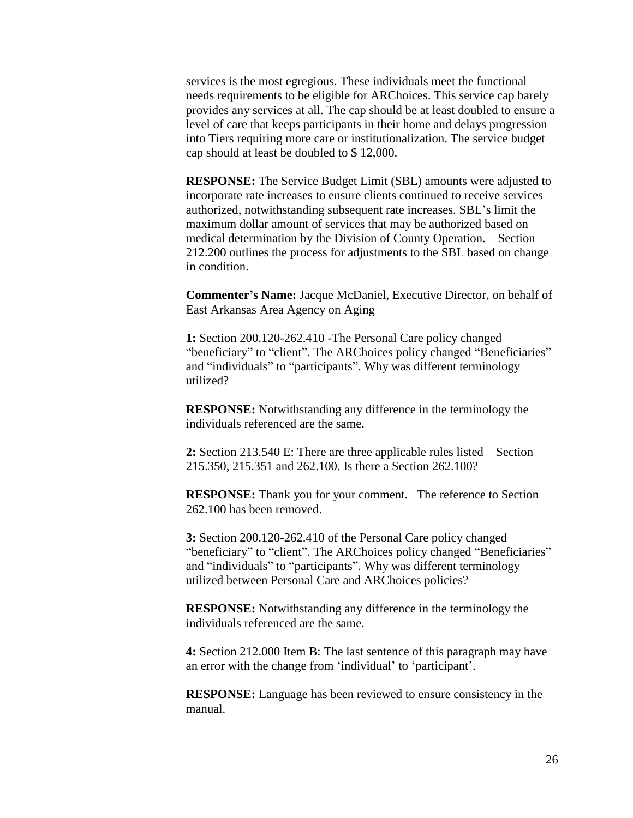services is the most egregious. These individuals meet the functional needs requirements to be eligible for ARChoices. This service cap barely provides any services at all. The cap should be at least doubled to ensure a level of care that keeps participants in their home and delays progression into Tiers requiring more care or institutionalization. The service budget cap should at least be doubled to \$ 12,000.

**RESPONSE:** The Service Budget Limit (SBL) amounts were adjusted to incorporate rate increases to ensure clients continued to receive services authorized, notwithstanding subsequent rate increases. SBL's limit the maximum dollar amount of services that may be authorized based on medical determination by the Division of County Operation. Section 212.200 outlines the process for adjustments to the SBL based on change in condition.

**Commenter's Name:** Jacque McDaniel, Executive Director, on behalf of East Arkansas Area Agency on Aging

**1:** Section 200.120-262.410 -The Personal Care policy changed "beneficiary" to "client". The ARChoices policy changed "Beneficiaries" and "individuals" to "participants". Why was different terminology utilized?

**RESPONSE:** Notwithstanding any difference in the terminology the individuals referenced are the same.

**2:** Section 213.540 E: There are three applicable rules listed—Section 215.350, 215.351 and 262.100. Is there a Section 262.100?

**RESPONSE:** Thank you for your comment. The reference to Section 262.100 has been removed.

**3:** Section 200.120-262.410 of the Personal Care policy changed "beneficiary" to "client". The ARChoices policy changed "Beneficiaries" and "individuals" to "participants". Why was different terminology utilized between Personal Care and ARChoices policies?

**RESPONSE:** Notwithstanding any difference in the terminology the individuals referenced are the same.

**4:** Section 212.000 Item B: The last sentence of this paragraph may have an error with the change from 'individual' to 'participant'.

**RESPONSE:** Language has been reviewed to ensure consistency in the manual.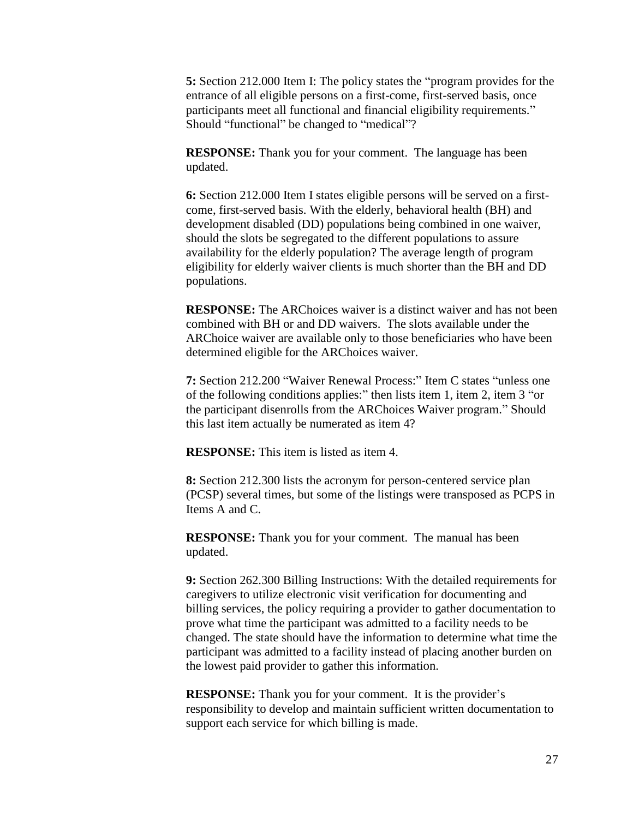**5:** Section 212.000 Item I: The policy states the "program provides for the entrance of all eligible persons on a first-come, first-served basis, once participants meet all functional and financial eligibility requirements." Should "functional" be changed to "medical"?

**RESPONSE:** Thank you for your comment. The language has been updated.

**6:** Section 212.000 Item I states eligible persons will be served on a firstcome, first-served basis. With the elderly, behavioral health (BH) and development disabled (DD) populations being combined in one waiver, should the slots be segregated to the different populations to assure availability for the elderly population? The average length of program eligibility for elderly waiver clients is much shorter than the BH and DD populations.

**RESPONSE:** The ARChoices waiver is a distinct waiver and has not been combined with BH or and DD waivers. The slots available under the ARChoice waiver are available only to those beneficiaries who have been determined eligible for the ARChoices waiver.

**7:** Section 212.200 "Waiver Renewal Process:" Item C states "unless one of the following conditions applies:" then lists item 1, item 2, item 3 "or the participant disenrolls from the ARChoices Waiver program." Should this last item actually be numerated as item 4?

**RESPONSE:** This item is listed as item 4.

**8:** Section 212.300 lists the acronym for person-centered service plan (PCSP) several times, but some of the listings were transposed as PCPS in Items A and C.

**RESPONSE:** Thank you for your comment. The manual has been updated.

**9:** Section 262.300 Billing Instructions: With the detailed requirements for caregivers to utilize electronic visit verification for documenting and billing services, the policy requiring a provider to gather documentation to prove what time the participant was admitted to a facility needs to be changed. The state should have the information to determine what time the participant was admitted to a facility instead of placing another burden on the lowest paid provider to gather this information.

**RESPONSE:** Thank you for your comment. It is the provider's responsibility to develop and maintain sufficient written documentation to support each service for which billing is made.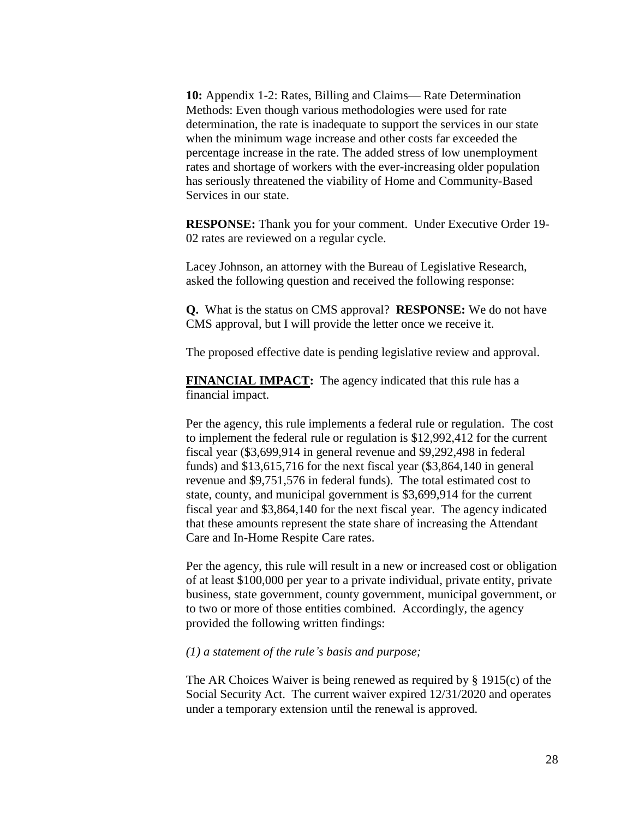**10:** Appendix 1-2: Rates, Billing and Claims— Rate Determination Methods: Even though various methodologies were used for rate determination, the rate is inadequate to support the services in our state when the minimum wage increase and other costs far exceeded the percentage increase in the rate. The added stress of low unemployment rates and shortage of workers with the ever-increasing older population has seriously threatened the viability of Home and Community-Based Services in our state.

**RESPONSE:** Thank you for your comment. Under Executive Order 19- 02 rates are reviewed on a regular cycle.

Lacey Johnson, an attorney with the Bureau of Legislative Research, asked the following question and received the following response:

**Q.** What is the status on CMS approval? **RESPONSE:** We do not have CMS approval, but I will provide the letter once we receive it.

The proposed effective date is pending legislative review and approval.

**FINANCIAL IMPACT:** The agency indicated that this rule has a financial impact.

Per the agency, this rule implements a federal rule or regulation. The cost to implement the federal rule or regulation is \$12,992,412 for the current fiscal year (\$3,699,914 in general revenue and \$9,292,498 in federal funds) and \$13,615,716 for the next fiscal year (\$3,864,140 in general revenue and \$9,751,576 in federal funds). The total estimated cost to state, county, and municipal government is \$3,699,914 for the current fiscal year and \$3,864,140 for the next fiscal year. The agency indicated that these amounts represent the state share of increasing the Attendant Care and In-Home Respite Care rates.

Per the agency, this rule will result in a new or increased cost or obligation of at least \$100,000 per year to a private individual, private entity, private business, state government, county government, municipal government, or to two or more of those entities combined. Accordingly, the agency provided the following written findings:

#### *(1) a statement of the rule's basis and purpose;*

The AR Choices Waiver is being renewed as required by § 1915(c) of the Social Security Act. The current waiver expired 12/31/2020 and operates under a temporary extension until the renewal is approved.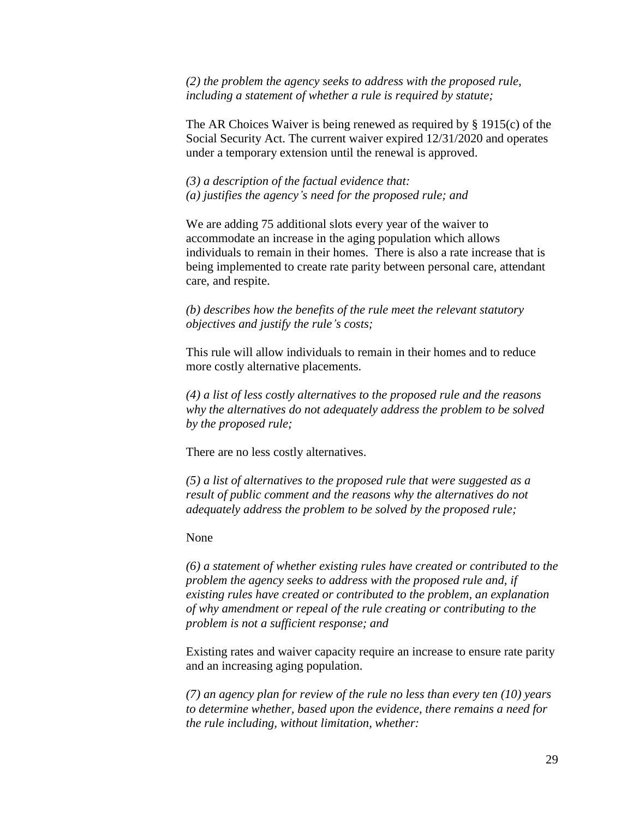*(2) the problem the agency seeks to address with the proposed rule, including a statement of whether a rule is required by statute;* 

The AR Choices Waiver is being renewed as required by § 1915(c) of the Social Security Act. The current waiver expired 12/31/2020 and operates under a temporary extension until the renewal is approved.

*(3) a description of the factual evidence that: (a) justifies the agency's need for the proposed rule; and* 

We are adding 75 additional slots every year of the waiver to accommodate an increase in the aging population which allows individuals to remain in their homes. There is also a rate increase that is being implemented to create rate parity between personal care, attendant care, and respite.

*(b) describes how the benefits of the rule meet the relevant statutory objectives and justify the rule's costs;* 

This rule will allow individuals to remain in their homes and to reduce more costly alternative placements.

*(4) a list of less costly alternatives to the proposed rule and the reasons why the alternatives do not adequately address the problem to be solved by the proposed rule;* 

There are no less costly alternatives.

*(5) a list of alternatives to the proposed rule that were suggested as a result of public comment and the reasons why the alternatives do not adequately address the problem to be solved by the proposed rule;* 

None

*(6) a statement of whether existing rules have created or contributed to the problem the agency seeks to address with the proposed rule and, if existing rules have created or contributed to the problem, an explanation of why amendment or repeal of the rule creating or contributing to the problem is not a sufficient response; and* 

Existing rates and waiver capacity require an increase to ensure rate parity and an increasing aging population.

*(7) an agency plan for review of the rule no less than every ten (10) years to determine whether, based upon the evidence, there remains a need for the rule including, without limitation, whether:*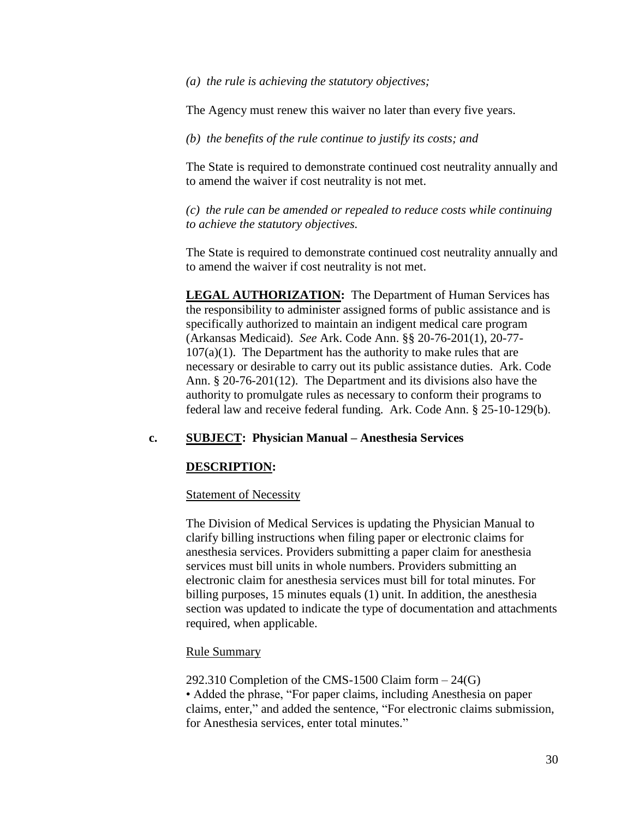*(a) the rule is achieving the statutory objectives;* 

The Agency must renew this waiver no later than every five years.

*(b) the benefits of the rule continue to justify its costs; and* 

The State is required to demonstrate continued cost neutrality annually and to amend the waiver if cost neutrality is not met.

*(c) the rule can be amended or repealed to reduce costs while continuing to achieve the statutory objectives.* 

The State is required to demonstrate continued cost neutrality annually and to amend the waiver if cost neutrality is not met.

**LEGAL AUTHORIZATION:** The Department of Human Services has the responsibility to administer assigned forms of public assistance and is specifically authorized to maintain an indigent medical care program (Arkansas Medicaid). *See* Ark. Code Ann. §§ 20-76-201(1), 20-77-  $107(a)(1)$ . The Department has the authority to make rules that are necessary or desirable to carry out its public assistance duties. Ark. Code Ann. § 20-76-201(12). The Department and its divisions also have the authority to promulgate rules as necessary to conform their programs to federal law and receive federal funding. Ark. Code Ann. § 25-10-129(b).

## **c. SUBJECT: Physician Manual – Anesthesia Services**

### **DESCRIPTION:**

### Statement of Necessity

The Division of Medical Services is updating the Physician Manual to clarify billing instructions when filing paper or electronic claims for anesthesia services. Providers submitting a paper claim for anesthesia services must bill units in whole numbers. Providers submitting an electronic claim for anesthesia services must bill for total minutes. For billing purposes, 15 minutes equals (1) unit. In addition, the anesthesia section was updated to indicate the type of documentation and attachments required, when applicable.

### Rule Summary

292.310 Completion of the CMS-1500 Claim form – 24(G) • Added the phrase, "For paper claims, including Anesthesia on paper claims, enter," and added the sentence, "For electronic claims submission, for Anesthesia services, enter total minutes."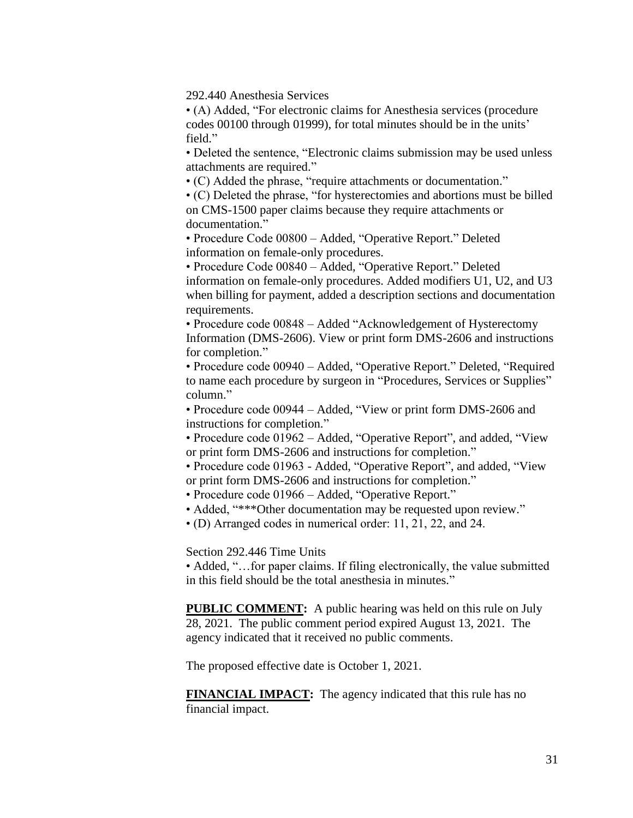292.440 Anesthesia Services

• (A) Added, "For electronic claims for Anesthesia services (procedure codes 00100 through 01999), for total minutes should be in the units' field."

• Deleted the sentence, "Electronic claims submission may be used unless attachments are required."

• (C) Added the phrase, "require attachments or documentation."

• (C) Deleted the phrase, "for hysterectomies and abortions must be billed on CMS-1500 paper claims because they require attachments or documentation."

• Procedure Code 00800 – Added, "Operative Report." Deleted information on female-only procedures.

• Procedure Code 00840 – Added, "Operative Report." Deleted information on female-only procedures. Added modifiers U1, U2, and U3 when billing for payment, added a description sections and documentation requirements.

• Procedure code 00848 – Added "Acknowledgement of Hysterectomy Information (DMS-2606). View or print form DMS-2606 and instructions for completion."

• Procedure code 00940 – Added, "Operative Report." Deleted, "Required to name each procedure by surgeon in "Procedures, Services or Supplies" column."

• Procedure code 00944 – Added, "View or print form DMS-2606 and instructions for completion."

• Procedure code 01962 – Added, "Operative Report", and added, "View or print form DMS-2606 and instructions for completion."

• Procedure code 01963 - Added, "Operative Report", and added, "View or print form DMS-2606 and instructions for completion."

• Procedure code 01966 – Added, "Operative Report."

• Added, "\*\*\*Other documentation may be requested upon review."

• (D) Arranged codes in numerical order: 11, 21, 22, and 24.

Section 292.446 Time Units

• Added, "...for paper claims. If filing electronically, the value submitted in this field should be the total anesthesia in minutes."

**PUBLIC COMMENT:** A public hearing was held on this rule on July 28, 2021. The public comment period expired August 13, 2021. The agency indicated that it received no public comments.

The proposed effective date is October 1, 2021.

**FINANCIAL IMPACT:** The agency indicated that this rule has no financial impact.